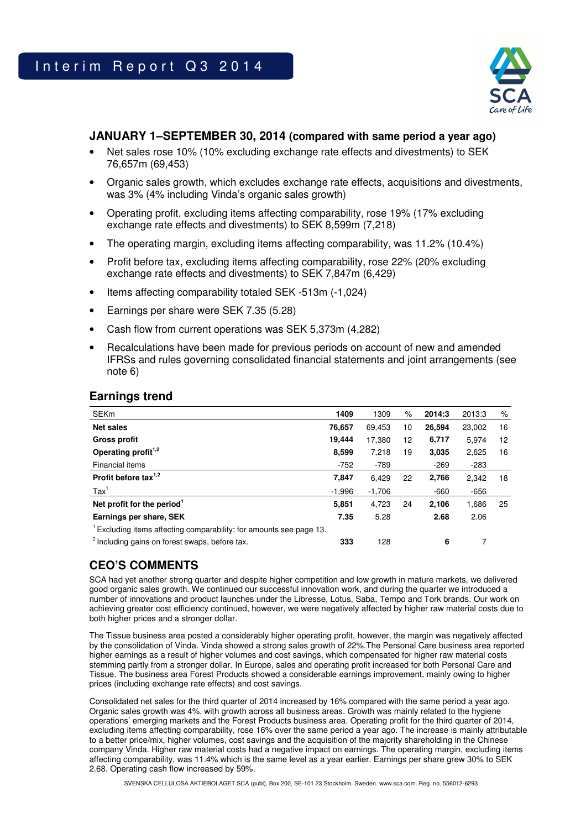

### **JANUARY 1–SEPTEMBER 30, 2014 (compared with same period a year ago)**

- Net sales rose 10% (10% excluding exchange rate effects and divestments) to SEK 76,657m (69,453)
- Organic sales growth, which excludes exchange rate effects, acquisitions and divestments, was 3% (4% including Vinda's organic sales growth)
- Operating profit, excluding items affecting comparability, rose 19% (17% excluding exchange rate effects and divestments) to SEK 8,599m (7,218)
- The operating margin, excluding items affecting comparability, was 11.2% (10.4%)
- Profit before tax, excluding items affecting comparability, rose 22% (20% excluding exchange rate effects and divestments) to SEK 7,847m (6,429)
- Items affecting comparability totaled SEK -513m (-1,024)
- Earnings per share were SEK 7.35 (5.28)
- Cash flow from current operations was SEK 5,373m (4,282)
- Recalculations have been made for previous periods on account of new and amended IFRSs and rules governing consolidated financial statements and joint arrangements (see note 6)

### **Earnings trend**

| <b>SEKm</b>                                                       | 1409     | 1309     | %  | 2014:3 | 2013:3 | %                 |
|-------------------------------------------------------------------|----------|----------|----|--------|--------|-------------------|
| <b>Net sales</b>                                                  | 76,657   | 69.453   | 10 | 26.594 | 23,002 | 16                |
| <b>Gross profit</b>                                               | 19,444   | 17,380   | 12 | 6,717  | 5,974  | $12 \overline{ }$ |
| Operating profit <sup>1,2</sup>                                   | 8,599    | 7,218    | 19 | 3,035  | 2,625  | 16                |
| Financial items                                                   | $-752$   | $-789$   |    | $-269$ | $-283$ |                   |
| Profit before tax $1,2$                                           | 7,847    | 6.429    | 22 | 2,766  | 2,342  | 18                |
| $\text{Tax}^1$                                                    | $-1,996$ | $-1,706$ |    | $-660$ | $-656$ |                   |
| Net profit for the period <sup>1</sup>                            | 5,851    | 4,723    | 24 | 2.106  | 1,686  | 25                |
| Earnings per share, SEK                                           | 7.35     | 5.28     |    | 2.68   | 2.06   |                   |
| Excluding items affecting comparability; for amounts see page 13. |          |          |    |        |        |                   |
| <sup>2</sup> Including gains on forest swaps, before tax.         | 333      | 128      |    | 6      | 7      |                   |

# **CEO'S COMMENTS**

SCA had yet another strong quarter and despite higher competition and low growth in mature markets, we delivered good organic sales growth. We continued our successful innovation work, and during the quarter we introduced a number of innovations and product launches under the Libresse, Lotus, Saba, Tempo and Tork brands. Our work on achieving greater cost efficiency continued, however, we were negatively affected by higher raw material costs due to both higher prices and a stronger dollar.

The Tissue business area posted a considerably higher operating profit, however, the margin was negatively affected by the consolidation of Vinda. Vinda showed a strong sales growth of 22%.The Personal Care business area reported higher earnings as a result of higher volumes and cost savings, which compensated for higher raw material costs stemming partly from a stronger dollar. In Europe, sales and operating profit increased for both Personal Care and Tissue. The business area Forest Products showed a considerable earnings improvement, mainly owing to higher prices (including exchange rate effects) and cost savings.

Consolidated net sales for the third quarter of 2014 increased by 16% compared with the same period a year ago. Organic sales growth was 4%, with growth across all business areas. Growth was mainly related to the hygiene operations' emerging markets and the Forest Products business area. Operating profit for the third quarter of 2014, excluding items affecting comparability, rose 16% over the same period a year ago. The increase is mainly attributable to a better price/mix, higher volumes, cost savings and the acquisition of the majority shareholding in the Chinese company Vinda. Higher raw material costs had a negative impact on earnings. The operating margin, excluding items affecting comparability, was 11.4% which is the same level as a year earlier. Earnings per share grew 30% to SEK 2.68. Operating cash flow increased by 59%.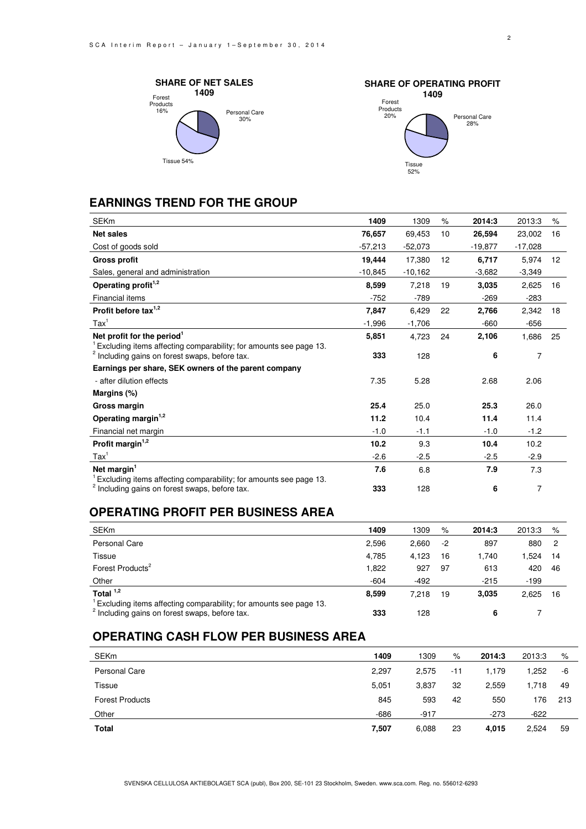



# **EARNINGS TREND FOR THE GROUP**

| <b>SEKm</b>                                                                                                                    | 1409      | 1309      | $\%$ | 2014:3    | 2013:3    | %                 |
|--------------------------------------------------------------------------------------------------------------------------------|-----------|-----------|------|-----------|-----------|-------------------|
| <b>Net sales</b>                                                                                                               | 76,657    | 69,453    | 10   | 26,594    | 23,002    | 16                |
| Cost of goods sold                                                                                                             | $-57,213$ | $-52,073$ |      | $-19.877$ | $-17,028$ |                   |
| <b>Gross profit</b>                                                                                                            | 19,444    | 17.380    | 12   | 6,717     | 5,974     | $12 \overline{ }$ |
| Sales, general and administration                                                                                              | $-10,845$ | $-10,162$ |      | $-3,682$  | $-3,349$  |                   |
| Operating profit <sup>1,2</sup>                                                                                                | 8,599     | 7,218     | 19   | 3,035     | 2,625     | 16                |
| <b>Financial items</b>                                                                                                         | $-752$    | $-789$    |      | $-269$    | $-283$    |                   |
| Profit before tax <sup>1,2</sup>                                                                                               | 7,847     | 6,429     | 22   | 2,766     | 2,342     | 18                |
| $\text{Tax}^1$                                                                                                                 | $-1,996$  | $-1,706$  |      | $-660$    | $-656$    |                   |
| Net profit for the period <sup>1</sup>                                                                                         | 5,851     | 4,723     | 24   | 2,106     | 1,686     | 25                |
| Excluding items affecting comparability; for amounts see page 13.<br><sup>2</sup> Including gains on forest swaps, before tax. | 333       | 128       |      | 6         | 7         |                   |
| Earnings per share, SEK owners of the parent company                                                                           |           |           |      |           |           |                   |
| - after dilution effects                                                                                                       | 7.35      | 5.28      |      | 2.68      | 2.06      |                   |
| Margins (%)                                                                                                                    |           |           |      |           |           |                   |
| Gross margin                                                                                                                   | 25.4      | 25.0      |      | 25.3      | 26.0      |                   |
| Operating margin <sup>1,2</sup>                                                                                                | 11.2      | 10.4      |      | 11.4      | 11.4      |                   |
| Financial net margin                                                                                                           | $-1.0$    | $-1.1$    |      | $-1.0$    | $-1.2$    |                   |
| Profit margin $1,2$                                                                                                            | 10.2      | 9.3       |      | 10.4      | 10.2      |                   |
| $\text{Tax}^1$                                                                                                                 | $-2.6$    | $-2.5$    |      | $-2.5$    | $-2.9$    |                   |
| Net margin <sup>1</sup>                                                                                                        | 7.6       | 6.8       |      | 7.9       | 7.3       |                   |
| Excluding items affecting comparability; for amounts see page 13.<br><sup>2</sup> Including gains on forest swaps, before tax. | 333       | 128       |      | 6         | 7         |                   |

# **OPERATING PROFIT PER BUSINESS AREA**

| <b>SEKm</b>                                                                                                                    | 1409   | 1309   | %    | 2014:3 | 2013:3 | %   |
|--------------------------------------------------------------------------------------------------------------------------------|--------|--------|------|--------|--------|-----|
| Personal Care                                                                                                                  | 2.596  | 2.660  | $-2$ | 897    | 880    | - 2 |
| Tissue                                                                                                                         | 4.785  | 4.123  | 16   | 1.740  | .524   | 14  |
| Forest Products <sup>2</sup>                                                                                                   | 1.822  | 927    | 97   | 613    | 420    | -46 |
| Other                                                                                                                          | $-604$ | $-492$ |      | $-215$ | $-199$ |     |
| Total $1,2$                                                                                                                    | 8.599  | 7.218  | 19   | 3.035  | 2,625  | 16  |
| Excluding items affecting comparability; for amounts see page 13.<br><sup>2</sup> Including gains on forest swaps, before tax. | 333    | 128    |      | 6      |        |     |

# **OPERATING CASH FLOW PER BUSINESS AREA**

| <b>SEKm</b>            | 1409   | 1309   | %     | 2014:3 | 2013:3 | %   |
|------------------------|--------|--------|-------|--------|--------|-----|
| <b>Personal Care</b>   | 2,297  | 2,575  | $-11$ | 1.179  | 1,252  | -6  |
| Tissue                 | 5,051  | 3,837  | 32    | 2,559  | 1,718  | 49  |
| <b>Forest Products</b> | 845    | 593    | 42    | 550    | 176    | 213 |
| Other                  | $-686$ | $-917$ |       | $-273$ | $-622$ |     |
| Total                  | 7,507  | 6,088  | 23    | 4,015  | 2,524  | 59  |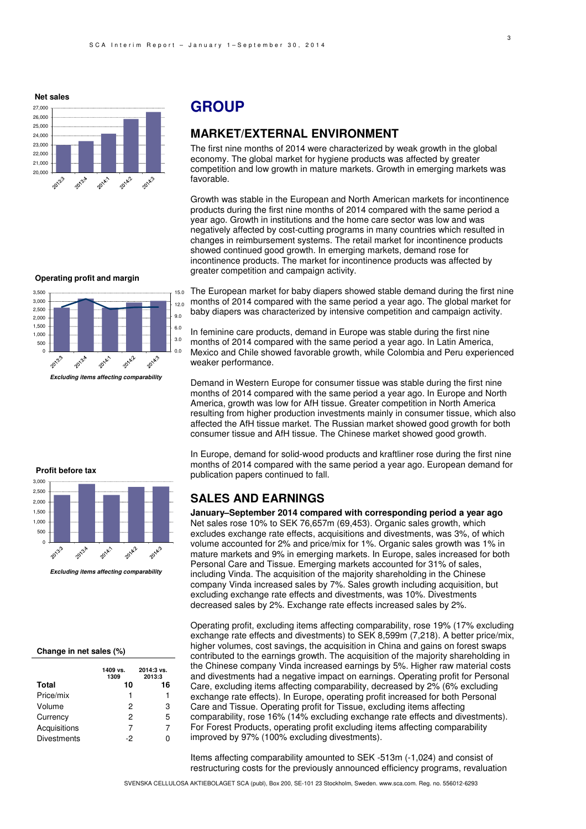**Net sales**

0 500 1,000 1,500 2,000  $2.500$ 3,000 3,500

2013:3

**Profit before tax**



# **GROUP**

## **MARKET/EXTERNAL ENVIRONMENT**

The first nine months of 2014 were characterized by weak growth in the global economy. The global market for hygiene products was affected by greater competition and low growth in mature markets. Growth in emerging markets was favorable.

Growth was stable in the European and North American markets for incontinence products during the first nine months of 2014 compared with the same period a year ago. Growth in institutions and the home care sector was low and was negatively affected by cost-cutting programs in many countries which resulted in changes in reimbursement systems. The retail market for incontinence products showed continued good growth. In emerging markets, demand rose for incontinence products. The market for incontinence products was affected by greater competition and campaign activity.

The European market for baby diapers showed stable demand during the first nine months of 2014 compared with the same period a year ago. The global market for baby diapers was characterized by intensive competition and campaign activity. 15.0

In feminine care products, demand in Europe was stable during the first nine months of 2014 compared with the same period a year ago. In Latin America, Mexico and Chile showed favorable growth, while Colombia and Peru experienced weaker performance.

Demand in Western Europe for consumer tissue was stable during the first nine months of 2014 compared with the same period a year ago. In Europe and North America, growth was low for AfH tissue. Greater competition in North America resulting from higher production investments mainly in consumer tissue, which also affected the AfH tissue market. The Russian market showed good growth for both consumer tissue and AfH tissue. The Chinese market showed good growth.

In Europe, demand for solid-wood products and kraftliner rose during the first nine months of 2014 compared with the same period a year ago. European demand for publication papers continued to fall.

### **SALES AND EARNINGS**

**January–September 2014 compared with corresponding period a year ago**  Net sales rose 10% to SEK 76,657m (69,453). Organic sales growth, which excludes exchange rate effects, acquisitions and divestments, was 3%, of which volume accounted for 2% and price/mix for 1%. Organic sales growth was 1% in mature markets and 9% in emerging markets. In Europe, sales increased for both Personal Care and Tissue. Emerging markets accounted for 31% of sales, including Vinda. The acquisition of the majority shareholding in the Chinese company Vinda increased sales by 7%. Sales growth including acquisition, but excluding exchange rate effects and divestments, was 10%. Divestments decreased sales by 2%. Exchange rate effects increased sales by 2%.

Operating profit, excluding items affecting comparability, rose 19% (17% excluding exchange rate effects and divestments) to SEK 8,599m (7,218). A better price/mix, higher volumes, cost savings, the acquisition in China and gains on forest swaps contributed to the earnings growth. The acquisition of the majority shareholding in the Chinese company Vinda increased earnings by 5%. Higher raw material costs and divestments had a negative impact on earnings. Operating profit for Personal Care, excluding items affecting comparability, decreased by 2% (6% excluding exchange rate effects). In Europe, operating profit increased for both Personal Care and Tissue. Operating profit for Tissue, excluding items affecting comparability, rose 16% (14% excluding exchange rate effects and divestments). For Forest Products, operating profit excluding items affecting comparability improved by 97% (100% excluding divestments).

Items affecting comparability amounted to SEK -513m (-1,024) and consist of restructuring costs for the previously announced efficiency programs, revaluation

6.0 9.0 12.0

20142

0.0 3.0

2014.3

2014-1  **Excluding items affecting comparability** 

**Operating profit and margin**

2013.4



**Excluding items affecting comparability**

#### **Change in net sales (%)**

|                    | 1409 vs.<br>1309 | 2014:3 vs.<br>2013:3 |
|--------------------|------------------|----------------------|
| <b>Total</b>       | 10               | 16                   |
| Price/mix          | 1                | 1                    |
| Volume             | 2                | 3                    |
| Currency           | 2                | 5                    |
| Acquisitions       | 7                | 7                    |
| <b>Divestments</b> | -2               | n                    |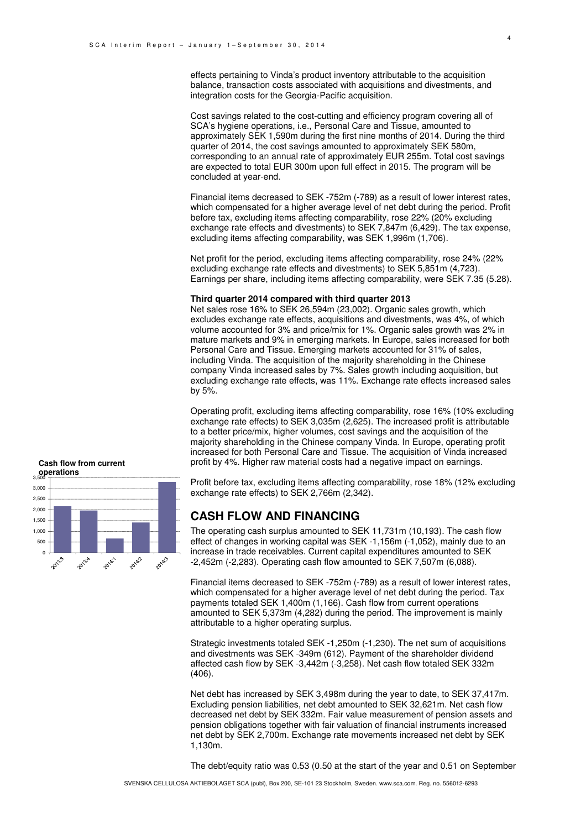effects pertaining to Vinda's product inventory attributable to the acquisition balance, transaction costs associated with acquisitions and divestments, and integration costs for the Georgia-Pacific acquisition.

Cost savings related to the cost-cutting and efficiency program covering all of SCA's hygiene operations, i.e., Personal Care and Tissue, amounted to approximately SEK 1,590m during the first nine months of 2014. During the third quarter of 2014, the cost savings amounted to approximately SEK 580m, corresponding to an annual rate of approximately EUR 255m. Total cost savings are expected to total EUR 300m upon full effect in 2015. The program will be concluded at year-end.

Financial items decreased to SEK -752m (-789) as a result of lower interest rates, which compensated for a higher average level of net debt during the period. Profit before tax, excluding items affecting comparability, rose 22% (20% excluding exchange rate effects and divestments) to SEK 7,847m (6,429). The tax expense, excluding items affecting comparability, was SEK 1,996m (1,706).

Net profit for the period, excluding items affecting comparability, rose 24% (22% excluding exchange rate effects and divestments) to SEK 5,851m (4,723). Earnings per share, including items affecting comparability, were SEK 7.35 (5.28).

#### **Third quarter 2014 compared with third quarter 2013**

Net sales rose 16% to SEK 26,594m (23,002). Organic sales growth, which excludes exchange rate effects, acquisitions and divestments, was 4%, of which volume accounted for 3% and price/mix for 1%. Organic sales growth was 2% in mature markets and 9% in emerging markets. In Europe, sales increased for both Personal Care and Tissue. Emerging markets accounted for 31% of sales, including Vinda. The acquisition of the majority shareholding in the Chinese company Vinda increased sales by 7%. Sales growth including acquisition, but excluding exchange rate effects, was 11%. Exchange rate effects increased sales by 5%.

Operating profit, excluding items affecting comparability, rose 16% (10% excluding exchange rate effects) to SEK 3,035m (2,625). The increased profit is attributable to a better price/mix, higher volumes, cost savings and the acquisition of the majority shareholding in the Chinese company Vinda. In Europe, operating profit increased for both Personal Care and Tissue. The acquisition of Vinda increased profit by 4%. Higher raw material costs had a negative impact on earnings.

Profit before tax, excluding items affecting comparability, rose 18% (12% excluding exchange rate effects) to SEK 2,766m (2,342).

### **CASH FLOW AND FINANCING**

The operating cash surplus amounted to SEK 11,731m (10,193). The cash flow effect of changes in working capital was SEK -1,156m (-1,052), mainly due to an increase in trade receivables. Current capital expenditures amounted to SEK -2,452m (-2,283). Operating cash flow amounted to SEK 7,507m (6,088).

Financial items decreased to SEK -752m (-789) as a result of lower interest rates, which compensated for a higher average level of net debt during the period. Tax payments totaled SEK 1,400m (1,166). Cash flow from current operations amounted to SEK 5,373m (4,282) during the period. The improvement is mainly attributable to a higher operating surplus.

Strategic investments totaled SEK -1,250m (-1,230). The net sum of acquisitions and divestments was SEK -349m (612). Payment of the shareholder dividend affected cash flow by SEK -3,442m (-3,258). Net cash flow totaled SEK 332m (406).

Net debt has increased by SEK 3,498m during the year to date, to SEK 37,417m. Excluding pension liabilities, net debt amounted to SEK 32,621m. Net cash flow decreased net debt by SEK 332m. Fair value measurement of pension assets and pension obligations together with fair valuation of financial instruments increased net debt by SEK 2,700m. Exchange rate movements increased net debt by SEK 1,130m.

The debt/equity ratio was 0.53 (0.50 at the start of the year and 0.51 on September

# **Cash flow from current**

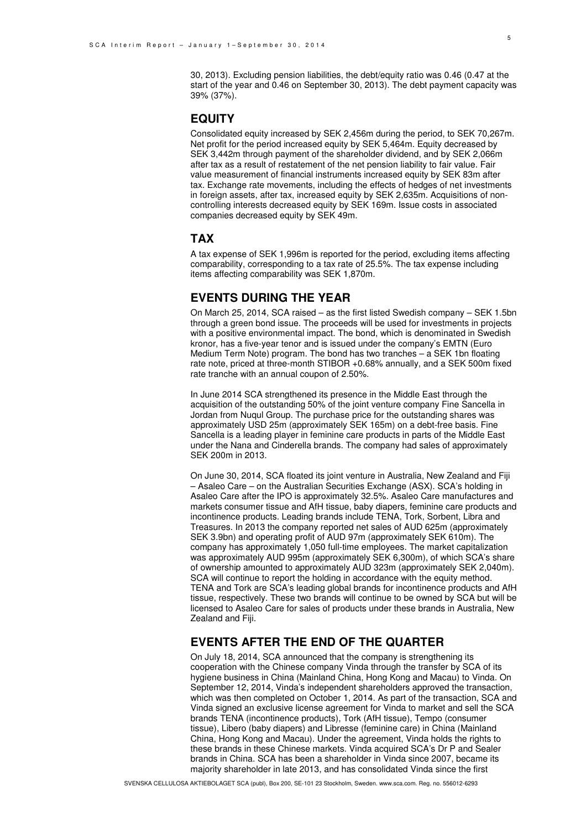30, 2013). Excluding pension liabilities, the debt/equity ratio was 0.46 (0.47 at the start of the year and 0.46 on September 30, 2013). The debt payment capacity was 39% (37%).

### **EQUITY**

Consolidated equity increased by SEK 2,456m during the period, to SEK 70,267m. Net profit for the period increased equity by SEK 5,464m. Equity decreased by SEK 3,442m through payment of the shareholder dividend, and by SEK 2,066m after tax as a result of restatement of the net pension liability to fair value. Fair value measurement of financial instruments increased equity by SEK 83m after tax. Exchange rate movements, including the effects of hedges of net investments in foreign assets, after tax, increased equity by SEK 2,635m. Acquisitions of noncontrolling interests decreased equity by SEK 169m. Issue costs in associated companies decreased equity by SEK 49m.

### **TAX**

A tax expense of SEK 1,996m is reported for the period, excluding items affecting comparability, corresponding to a tax rate of 25.5%. The tax expense including items affecting comparability was SEK 1,870m.

# **EVENTS DURING THE YEAR**

On March 25, 2014, SCA raised – as the first listed Swedish company – SEK 1.5bn through a green bond issue. The proceeds will be used for investments in projects with a positive environmental impact. The bond, which is denominated in Swedish kronor, has a five-year tenor and is issued under the company's EMTN (Euro Medium Term Note) program. The bond has two tranches – a SEK 1bn floating rate note, priced at three-month STIBOR +0.68% annually, and a SEK 500m fixed rate tranche with an annual coupon of 2.50%.

In June 2014 SCA strengthened its presence in the Middle East through the acquisition of the outstanding 50% of the joint venture company Fine Sancella in Jordan from Nuqul Group. The purchase price for the outstanding shares was approximately USD 25m (approximately SEK 165m) on a debt-free basis. Fine Sancella is a leading player in feminine care products in parts of the Middle East under the Nana and Cinderella brands. The company had sales of approximately SEK 200m in 2013.

On June 30, 2014, SCA floated its joint venture in Australia, New Zealand and Fiji – Asaleo Care – on the Australian Securities Exchange (ASX). SCA's holding in Asaleo Care after the IPO is approximately 32.5%. Asaleo Care manufactures and markets consumer tissue and AfH tissue, baby diapers, feminine care products and incontinence products. Leading brands include TENA, Tork, Sorbent, Libra and Treasures. In 2013 the company reported net sales of AUD 625m (approximately SEK 3.9bn) and operating profit of AUD 97m (approximately SEK 610m). The company has approximately 1,050 full-time employees. The market capitalization was approximately AUD 995m (approximately SEK 6,300m), of which SCA's share of ownership amounted to approximately AUD 323m (approximately SEK 2,040m). SCA will continue to report the holding in accordance with the equity method. TENA and Tork are SCA's leading global brands for incontinence products and AfH tissue, respectively. These two brands will continue to be owned by SCA but will be licensed to Asaleo Care for sales of products under these brands in Australia, New Zealand and Fiji.

## **EVENTS AFTER THE END OF THE QUARTER**

On July 18, 2014, SCA announced that the company is strengthening its cooperation with the Chinese company Vinda through the transfer by SCA of its hygiene business in China (Mainland China, Hong Kong and Macau) to Vinda. On September 12, 2014, Vinda's independent shareholders approved the transaction, which was then completed on October 1, 2014. As part of the transaction, SCA and Vinda signed an exclusive license agreement for Vinda to market and sell the SCA brands TENA (incontinence products), Tork (AfH tissue), Tempo (consumer tissue), Libero (baby diapers) and Libresse (feminine care) in China (Mainland China, Hong Kong and Macau). Under the agreement, Vinda holds the rights to these brands in these Chinese markets. Vinda acquired SCA's Dr P and Sealer brands in China. SCA has been a shareholder in Vinda since 2007, became its majority shareholder in late 2013, and has consolidated Vinda since the first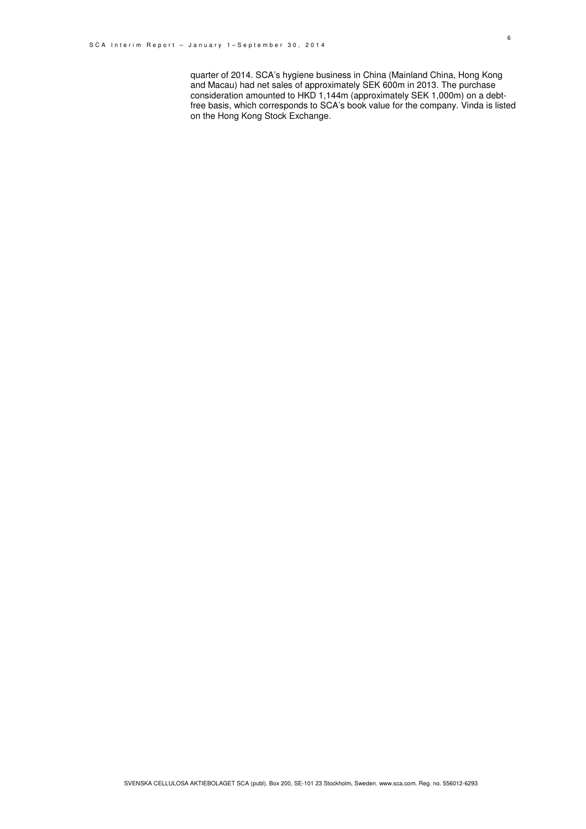quarter of 2014. SCA's hygiene business in China (Mainland China, Hong Kong and Macau) had net sales of approximately SEK 600m in 2013. The purchase consideration amounted to HKD 1,144m (approximately SEK 1,000m) on a debtfree basis, which corresponds to SCA's book value for the company. Vinda is listed on the Hong Kong Stock Exchange.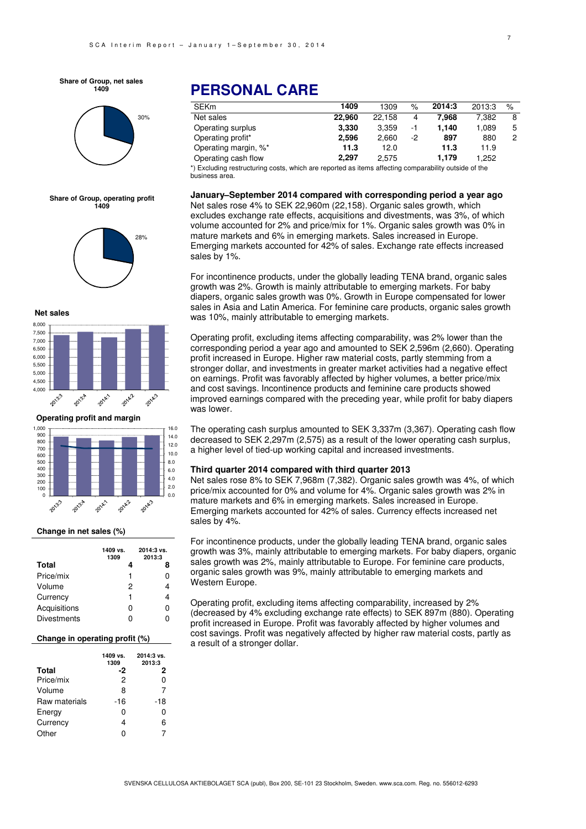**Share of Group, net sales 1409**



**Share of Group, operating profit 1409**







**Operating profit and margin**



#### **Change in net sales (%)**

|                    | 1409 vs.<br>1309 | 2014:3 vs.<br>2013:3 |
|--------------------|------------------|----------------------|
| Total              | 4                | 8                    |
| Price/mix          | 1                | ი                    |
| Volume             | 2                | 4                    |
| Currency           | 1                | 4                    |
| Acquisitions       | ი                | ი                    |
| <b>Divestments</b> | n                | ი                    |

#### **Change in operating profit (%)**

|               | 1409 vs.<br>1309 | 2014:3 vs.<br>2013:3 |
|---------------|------------------|----------------------|
| <b>Total</b>  | -2               | 2                    |
| Price/mix     | 2                | n                    |
| Volume        | 8                | 7                    |
| Raw materials | -16              | -18                  |
| Energy        | 0                | n                    |
| Currency      |                  | 6                    |
| Other         |                  |                      |

# **PERSONAL CARE**

| <b>SEKm</b>          | 1409   | 1309   | $\%$ | 2014:3 | 2013:3 | $\%$ |
|----------------------|--------|--------|------|--------|--------|------|
| Net sales            | 22.960 | 22.158 | 4    | 7.968  | 7.382  | 8    |
| Operating surplus    | 3.330  | 3.359  | -1   | 1.140  | 1.089  | 5    |
| Operating profit*    | 2.596  | 2.660  | -2   | 897    | 880    | 2    |
| Operating margin, %* | 11.3   | 12.0   |      | 11.3   | 11.9   |      |
| Operating cash flow  | 2.297  | 2.575  |      | 1.179  | 1.252  |      |
|                      |        |        |      |        |        |      |

\*) Excluding restructuring costs, which are reported as items affecting comparability outside of the business area.

#### **January–September 2014 compared with corresponding period a year ago**

Net sales rose 4% to SEK 22,960m (22,158). Organic sales growth, which excludes exchange rate effects, acquisitions and divestments, was 3%, of which volume accounted for 2% and price/mix for 1%. Organic sales growth was 0% in mature markets and 6% in emerging markets. Sales increased in Europe. Emerging markets accounted for 42% of sales. Exchange rate effects increased sales by 1%.

For incontinence products, under the globally leading TENA brand, organic sales growth was 2%. Growth is mainly attributable to emerging markets. For baby diapers, organic sales growth was 0%. Growth in Europe compensated for lower sales in Asia and Latin America. For feminine care products, organic sales growth was 10%, mainly attributable to emerging markets.

Operating profit, excluding items affecting comparability, was 2% lower than the corresponding period a year ago and amounted to SEK 2,596m (2,660). Operating profit increased in Europe. Higher raw material costs, partly stemming from a stronger dollar, and investments in greater market activities had a negative effect on earnings. Profit was favorably affected by higher volumes, a better price/mix and cost savings. Incontinence products and feminine care products showed improved earnings compared with the preceding year, while profit for baby diapers was lower.

The operating cash surplus amounted to SEK 3,337m (3,367). Operating cash flow decreased to SEK 2,297m (2,575) as a result of the lower operating cash surplus, a higher level of tied-up working capital and increased investments.

#### **Third quarter 2014 compared with third quarter 2013**

Net sales rose 8% to SEK 7,968m (7,382). Organic sales growth was 4%, of which price/mix accounted for 0% and volume for 4%. Organic sales growth was 2% in mature markets and 6% in emerging markets. Sales increased in Europe. Emerging markets accounted for 42% of sales. Currency effects increased net sales by 4%.

For incontinence products, under the globally leading TENA brand, organic sales growth was 3%, mainly attributable to emerging markets. For baby diapers, organic sales growth was 2%, mainly attributable to Europe. For feminine care products, organic sales growth was 9%, mainly attributable to emerging markets and Western Europe.

Operating profit, excluding items affecting comparability, increased by 2% (decreased by 4% excluding exchange rate effects) to SEK 897m (880). Operating profit increased in Europe. Profit was favorably affected by higher volumes and cost savings. Profit was negatively affected by higher raw material costs, partly as a result of a stronger dollar.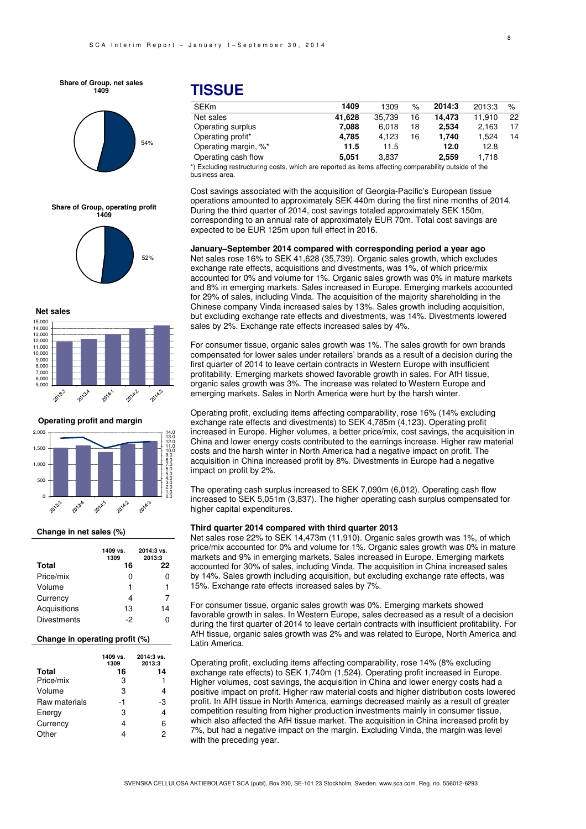**Share of Group, net sales 1409**



**Share of Group, operating profit 1409**



**Net sales**



**Operating profit and margin**



#### **Change in net sales (%)**

|                    | 1409 vs.<br>1309 | 2014:3 vs.<br>2013:3 |
|--------------------|------------------|----------------------|
| Total              | 16               | 22                   |
| Price/mix          | $\mathbf{I}$     | 0                    |
| Volume             |                  | 1                    |
| Currency           |                  | 7                    |
| Acquisitions       | 13               | 14                   |
| <b>Divestments</b> | -2               |                      |

#### **Change in operating profit (%)**

|               | 1409 vs.<br>1309 | $2014:3$ vs.<br>2013:3 |
|---------------|------------------|------------------------|
| <b>Total</b>  | 16               | 14                     |
| Price/mix     | 3                | 1                      |
| Volume        | 3                | 4                      |
| Raw materials | -1               | -3                     |
| Energy        | 3                | 4                      |
| Currency      | 4                | 6                      |
| Other         |                  | 2                      |

# **TISSUE**

| <b>SEKm</b>                                                                                          | 1409   | 1309   | %  | 2014:3 | 2013:3 | $\%$ |
|------------------------------------------------------------------------------------------------------|--------|--------|----|--------|--------|------|
| Net sales                                                                                            | 41.628 | 35.739 | 16 | 14.473 | 11.910 | 22   |
| Operating surplus                                                                                    | 7.088  | 6.018  | 18 | 2.534  | 2.163  | 17   |
| Operating profit*                                                                                    | 4.785  | 4.123  | 16 | 1.740  | 1.524  | 14   |
| Operating margin, %*                                                                                 | 11.5   | 11.5   |    | 12.0   | 12.8   |      |
| Operating cash flow                                                                                  | 5.051  | 3.837  |    | 2.559  | 1.718  |      |
| *) Evaluding restructuring sector which are reported as items effecting comparability outside of the |        |        |    |        |        |      |

costs, which are reported as items affecting comparability outside of the business area.

Cost savings associated with the acquisition of Georgia-Pacific's European tissue operations amounted to approximately SEK 440m during the first nine months of 2014. During the third quarter of 2014, cost savings totaled approximately SEK 150m, corresponding to an annual rate of approximately EUR 70m. Total cost savings are expected to be EUR 125m upon full effect in 2016.

**January–September 2014 compared with corresponding period a year ago**  Net sales rose 16% to SEK 41,628 (35,739). Organic sales growth, which excludes exchange rate effects, acquisitions and divestments, was 1%, of which price/mix accounted for 0% and volume for 1%. Organic sales growth was 0% in mature markets and 8% in emerging markets. Sales increased in Europe. Emerging markets accounted for 29% of sales, including Vinda. The acquisition of the majority shareholding in the Chinese company Vinda increased sales by 13%. Sales growth including acquisition, but excluding exchange rate effects and divestments, was 14%. Divestments lowered sales by 2%. Exchange rate effects increased sales by 4%.

For consumer tissue, organic sales growth was 1%. The sales growth for own brands compensated for lower sales under retailers' brands as a result of a decision during the first quarter of 2014 to leave certain contracts in Western Europe with insufficient profitability. Emerging markets showed favorable growth in sales. For AfH tissue, organic sales growth was 3%. The increase was related to Western Europe and emerging markets. Sales in North America were hurt by the harsh winter.

Operating profit, excluding items affecting comparability, rose 16% (14% excluding exchange rate effects and divestments) to SEK 4,785m (4,123). Operating profit increased in Europe. Higher volumes, a better price/mix, cost savings, the acquisition in China and lower energy costs contributed to the earnings increase. Higher raw material costs and the harsh winter in North America had a negative impact on profit. The acquisition in China increased profit by 8%. Divestments in Europe had a negative impact on profit by 2%.

The operating cash surplus increased to SEK 7,090m (6,012). Operating cash flow increased to SEK 5,051m (3,837). The higher operating cash surplus compensated for higher capital expenditures.

#### **Third quarter 2014 compared with third quarter 2013**

Net sales rose 22% to SEK 14,473m (11,910). Organic sales growth was 1%, of which price/mix accounted for 0% and volume for 1%. Organic sales growth was 0% in mature markets and 9% in emerging markets. Sales increased in Europe. Emerging markets accounted for 30% of sales, including Vinda. The acquisition in China increased sales by 14%. Sales growth including acquisition, but excluding exchange rate effects, was 15%. Exchange rate effects increased sales by 7%.

For consumer tissue, organic sales growth was 0%. Emerging markets showed favorable growth in sales. In Western Europe, sales decreased as a result of a decision during the first quarter of 2014 to leave certain contracts with insufficient profitability. For AfH tissue, organic sales growth was 2% and was related to Europe, North America and Latin America.

Operating profit, excluding items affecting comparability, rose 14% (8% excluding exchange rate effects) to SEK 1,740m (1,524). Operating profit increased in Europe. Higher volumes, cost savings, the acquisition in China and lower energy costs had a positive impact on profit. Higher raw material costs and higher distribution costs lowered profit. In AfH tissue in North America, earnings decreased mainly as a result of greater competition resulting from higher production investments mainly in consumer tissue, which also affected the AfH tissue market. The acquisition in China increased profit by 7%, but had a negative impact on the margin. Excluding Vinda, the margin was level with the preceding year.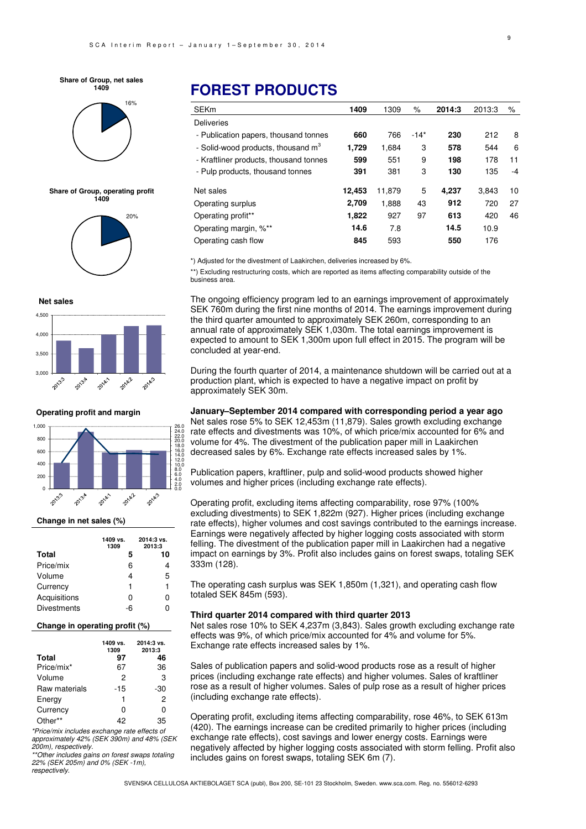#### **Share of Group, net sales 1409**



**Share of Group, operating profit 1409**



**Net sales**



**Operating profit and margin**



#### **Change in net sales (%)**

|                    | 1409 vs.<br>1309 | 2014:3 vs.<br>2013:3 |
|--------------------|------------------|----------------------|
| <b>Total</b>       | 5                | 10                   |
| Price/mix          | 6                | 4                    |
| Volume             | 4                | 5                    |
| Currency           | 1                | 1                    |
| Acquisitions       | 0                | ი                    |
| <b>Divestments</b> | -6               |                      |

#### **Change in operating profit (%)**

| <b>Total</b>  | 1409 vs.<br>1309<br>97 | 2014:3 vs.<br>2013:3<br>46 |
|---------------|------------------------|----------------------------|
| Price/mix*    | 67                     | 36                         |
| Volume        | 2                      | 3                          |
| Raw materials | -15                    | -30                        |
| Energy        | 1                      | 2                          |
| Currency      | n                      | ი                          |
| Other         | 42                     | 35                         |

\*Price/mix includes exchange rate effects of approximately 42% (SEK 390m) and 48% (SEK 200m), respectively.

\*\*Other includes gains on forest swaps totaling 22% (SEK 205m) and 0% (SEK -1m), respectively.

# **FOREST PRODUCTS**

| <b>SEKm</b>                                    | 1409   | 1309   | %      | 2014:3 | 2013:3 | %  |
|------------------------------------------------|--------|--------|--------|--------|--------|----|
| <b>Deliveries</b>                              |        |        |        |        |        |    |
| - Publication papers, thousand tonnes          | 660    | 766    | $-14*$ | 230    | 212    | 8  |
| - Solid-wood products, thousand m <sup>3</sup> | 1,729  | 1.684  | 3      | 578    | 544    | 6  |
| - Kraftliner products, thousand tonnes         | 599    | 551    | 9      | 198    | 178    | 11 |
| - Pulp products, thousand tonnes               | 391    | 381    | 3      | 130    | 135    | -4 |
| Net sales                                      | 12,453 | 11.879 | 5      | 4,237  | 3.843  | 10 |
| Operating surplus                              | 2.709  | 1.888  | 43     | 912    | 720    | 27 |
| Operating profit**                             | 1,822  | 927    | 97     | 613    | 420    | 46 |
| Operating margin, %**                          | 14.6   | 7.8    |        | 14.5   | 10.9   |    |
| Operating cash flow                            | 845    | 593    |        | 550    | 176    |    |

\*) Adjusted for the divestment of Laakirchen, deliveries increased by 6%.

\*\*) Excluding restructuring costs, which are reported as items affecting comparability outside of the business area.

The ongoing efficiency program led to an earnings improvement of approximately SEK 760m during the first nine months of 2014. The earnings improvement during the third quarter amounted to approximately SEK 260m, corresponding to an annual rate of approximately SEK 1,030m. The total earnings improvement is expected to amount to SEK 1,300m upon full effect in 2015. The program will be concluded at year-end.

During the fourth quarter of 2014, a maintenance shutdown will be carried out at a production plant, which is expected to have a negative impact on profit by approximately SEK 30m.

#### **January–September 2014 compared with corresponding period a year ago**

Net sales rose 5% to SEK 12,453m (11,879). Sales growth excluding exchange rate effects and divestments was 10%, of which price/mix accounted for 6% and volume for 4%. The divestment of the publication paper mill in Laakirchen decreased sales by 6%. Exchange rate effects increased sales by 1%.

Publication papers, kraftliner, pulp and solid-wood products showed higher volumes and higher prices (including exchange rate effects).

Operating profit, excluding items affecting comparability, rose 97% (100% excluding divestments) to SEK 1,822m (927). Higher prices (including exchange rate effects), higher volumes and cost savings contributed to the earnings increase. Earnings were negatively affected by higher logging costs associated with storm felling. The divestment of the publication paper mill in Laakirchen had a negative impact on earnings by 3%. Profit also includes gains on forest swaps, totaling SEK 333m (128).

The operating cash surplus was SEK 1,850m (1,321), and operating cash flow totaled SEK 845m (593).

#### **Third quarter 2014 compared with third quarter 2013**

Net sales rose 10% to SEK 4,237m (3,843). Sales growth excluding exchange rate effects was 9%, of which price/mix accounted for 4% and volume for 5%. Exchange rate effects increased sales by 1%.

Sales of publication papers and solid-wood products rose as a result of higher prices (including exchange rate effects) and higher volumes. Sales of kraftliner rose as a result of higher volumes. Sales of pulp rose as a result of higher prices (including exchange rate effects).

Operating profit, excluding items affecting comparability, rose 46%, to SEK 613m (420). The earnings increase can be credited primarily to higher prices (including exchange rate effects), cost savings and lower energy costs. Earnings were negatively affected by higher logging costs associated with storm felling. Profit also includes gains on forest swaps, totaling SEK 6m (7).

SVENSKA CELLULOSA AKTIEBOLAGET SCA (publ), Box 200, SE-101 23 Stockholm, Sweden. www.sca.com. Reg. no. 556012-6293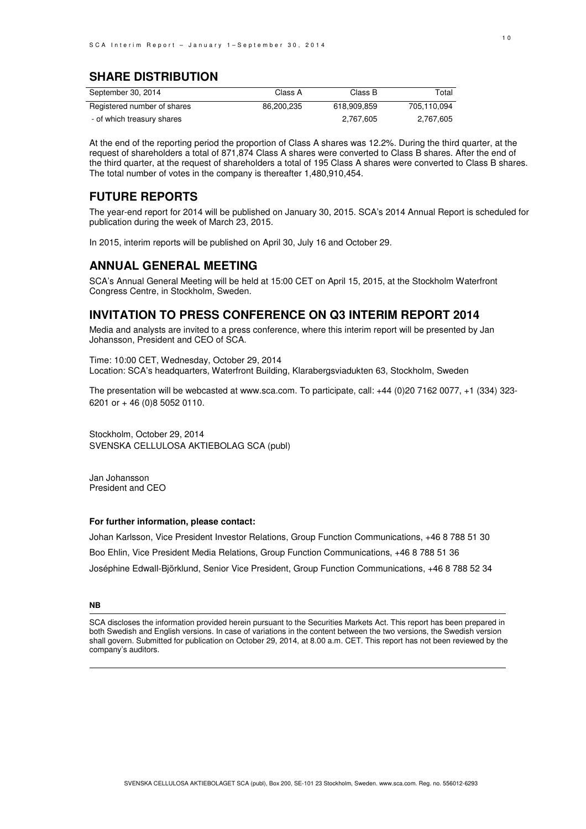## **SHARE DISTRIBUTION**

| September 30, 2014          | Class A    | Class B     | Total       |
|-----------------------------|------------|-------------|-------------|
| Registered number of shares | 86.200.235 | 618.909.859 | 705.110.094 |
| - of which treasury shares  |            | 2.767.605   | 2.767.605   |

At the end of the reporting period the proportion of Class A shares was 12.2%. During the third quarter, at the request of shareholders a total of 871,874 Class A shares were converted to Class B shares. After the end of the third quarter, at the request of shareholders a total of 195 Class A shares were converted to Class B shares. The total number of votes in the company is thereafter 1,480,910,454.

### **FUTURE REPORTS**

The year-end report for 2014 will be published on January 30, 2015. SCA's 2014 Annual Report is scheduled for publication during the week of March 23, 2015.

In 2015, interim reports will be published on April 30, July 16 and October 29.

### **ANNUAL GENERAL MEETING**

SCA's Annual General Meeting will be held at 15:00 CET on April 15, 2015, at the Stockholm Waterfront Congress Centre, in Stockholm, Sweden.

### **INVITATION TO PRESS CONFERENCE ON Q3 INTERIM REPORT 2014**

Media and analysts are invited to a press conference, where this interim report will be presented by Jan Johansson, President and CEO of SCA.

Time: 10:00 CET, Wednesday, October 29, 2014 Location: SCA's headquarters, Waterfront Building, Klarabergsviadukten 63, Stockholm, Sweden

The presentation will be webcasted at www.sca.com. To participate, call: +44 (0)20 7162 0077, +1 (334) 323- 6201 or + 46 (0)8 5052 0110.

Stockholm, October 29, 2014 SVENSKA CELLULOSA AKTIEBOLAG SCA (publ)

Jan Johansson President and CEO

#### **For further information, please contact:**

Johan Karlsson, Vice President Investor Relations, Group Function Communications, +46 8 788 51 30 Boo Ehlin, Vice President Media Relations, Group Function Communications, +46 8 788 51 36 Joséphine Edwall-Björklund, Senior Vice President, Group Function Communications, +46 8 788 52 34

**NB** 

SCA discloses the information provided herein pursuant to the Securities Markets Act. This report has been prepared in both Swedish and English versions. In case of variations in the content between the two versions, the Swedish version shall govern. Submitted for publication on October 29, 2014, at 8.00 a.m. CET. This report has not been reviewed by the company's auditors.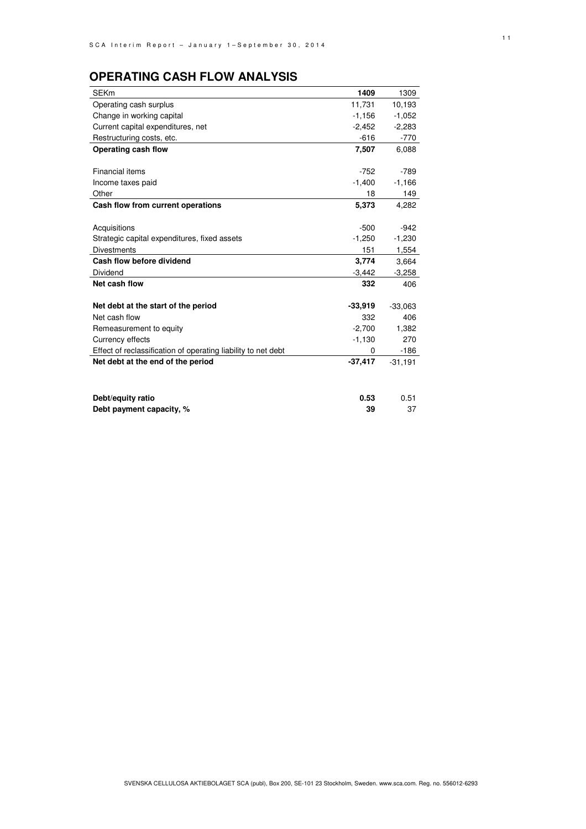# **OPERATING CASH FLOW ANALYSIS**

| <b>SEKm</b>                                                   | 1409      | 1309      |
|---------------------------------------------------------------|-----------|-----------|
| Operating cash surplus                                        | 11,731    | 10,193    |
| Change in working capital                                     | $-1,156$  | $-1,052$  |
| Current capital expenditures, net                             | $-2,452$  | $-2,283$  |
| Restructuring costs, etc.                                     | $-616$    | $-770$    |
| Operating cash flow                                           | 7,507     | 6,088     |
|                                                               |           |           |
| Financial items                                               | $-752$    | $-789$    |
| Income taxes paid                                             | $-1,400$  | $-1,166$  |
| Other                                                         | 18        | 149       |
| Cash flow from current operations                             | 5,373     | 4,282     |
|                                                               |           |           |
| Acquisitions                                                  | $-500$    | $-942$    |
| Strategic capital expenditures, fixed assets                  | $-1,250$  | $-1,230$  |
| <b>Divestments</b>                                            | 151       | 1,554     |
| Cash flow before dividend                                     | 3,774     | 3,664     |
| Dividend                                                      | $-3,442$  | $-3,258$  |
| Net cash flow                                                 | 332       | 406       |
|                                                               |           |           |
| Net debt at the start of the period                           | $-33,919$ | $-33,063$ |
| Net cash flow                                                 | 332       | 406       |
| Remeasurement to equity                                       | $-2,700$  | 1,382     |
| Currency effects                                              | $-1,130$  | 270       |
| Effect of reclassification of operating liability to net debt | 0         | $-186$    |
| Net debt at the end of the period                             | $-37,417$ | $-31,191$ |
|                                                               |           |           |
|                                                               |           |           |
| Debt/equity ratio                                             | 0.53      | 0.51      |
| Debt payment capacity, %                                      | 39        | 37        |
|                                                               |           |           |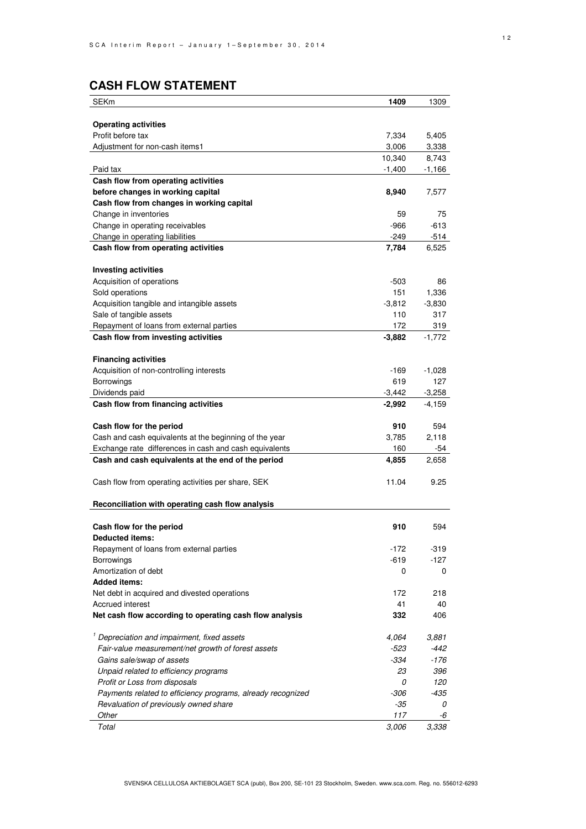# **CASH FLOW STATEMENT**

| <b>SEKm</b>                                                 | 1409     | 1309     |
|-------------------------------------------------------------|----------|----------|
|                                                             |          |          |
| <b>Operating activities</b>                                 |          |          |
| Profit before tax                                           | 7,334    | 5,405    |
| Adjustment for non-cash items1                              | 3,006    | 3,338    |
|                                                             | 10,340   | 8,743    |
| Paid tax                                                    | $-1,400$ | $-1,166$ |
| Cash flow from operating activities                         |          |          |
| before changes in working capital                           | 8,940    | 7,577    |
| Cash flow from changes in working capital                   |          |          |
| Change in inventories                                       | 59       | 75       |
| Change in operating receivables                             | -966     | $-613$   |
| Change in operating liabilities                             | -249     | $-514$   |
| Cash flow from operating activities                         | 7,784    | 6,525    |
| <b>Investing activities</b>                                 |          |          |
| Acquisition of operations                                   | -503     | 86       |
| Sold operations                                             | 151      | 1,336    |
| Acquisition tangible and intangible assets                  | $-3,812$ | $-3,830$ |
| Sale of tangible assets                                     | 110      | 317      |
| Repayment of loans from external parties                    | 172      | 319      |
| Cash flow from investing activities                         | $-3,882$ | $-1,772$ |
|                                                             |          |          |
| <b>Financing activities</b>                                 |          |          |
| Acquisition of non-controlling interests                    | -169     | $-1,028$ |
| Borrowings                                                  | 619      | 127      |
| Dividends paid                                              | $-3,442$ | $-3,258$ |
| Cash flow from financing activities                         | $-2,992$ | -4,159   |
|                                                             |          |          |
| Cash flow for the period                                    | 910      | 594      |
| Cash and cash equivalents at the beginning of the year      | 3,785    | 2,118    |
| Exchange rate differences in cash and cash equivalents      | 160      | -54      |
| Cash and cash equivalents at the end of the period          | 4,855    | 2,658    |
|                                                             |          |          |
| Cash flow from operating activities per share, SEK          | 11.04    | 9.25     |
| Reconciliation with operating cash flow analysis            |          |          |
|                                                             |          |          |
| Cash flow for the period                                    | 910      | 594      |
| Deducted items:                                             |          |          |
| Repayment of loans from external parties                    | $-172$   | $-319$   |
| Borrowings                                                  | -619     | $-127$   |
| Amortization of debt                                        | 0        | 0        |
| <b>Added items:</b>                                         |          |          |
| Net debt in acquired and divested operations                | 172      | 218      |
| Accrued interest                                            | 41       | 40       |
| Net cash flow according to operating cash flow analysis     | 332      | 406      |
| <sup>1</sup> Depreciation and impairment, fixed assets      | 4,064    | 3,881    |
| Fair-value measurement/net growth of forest assets          | -523     | $-442$   |
| Gains sale/swap of assets                                   | -334     | $-176$   |
| Unpaid related to efficiency programs                       | 23       | 396      |
| Profit or Loss from disposals                               | 0        | 120      |
| Payments related to efficiency programs, already recognized | -306     | $-435$   |
| Revaluation of previously owned share                       | $-35$    | 0        |
| Other                                                       | 117      | -6       |
| Total                                                       | 3,006    | 3,338    |
|                                                             |          |          |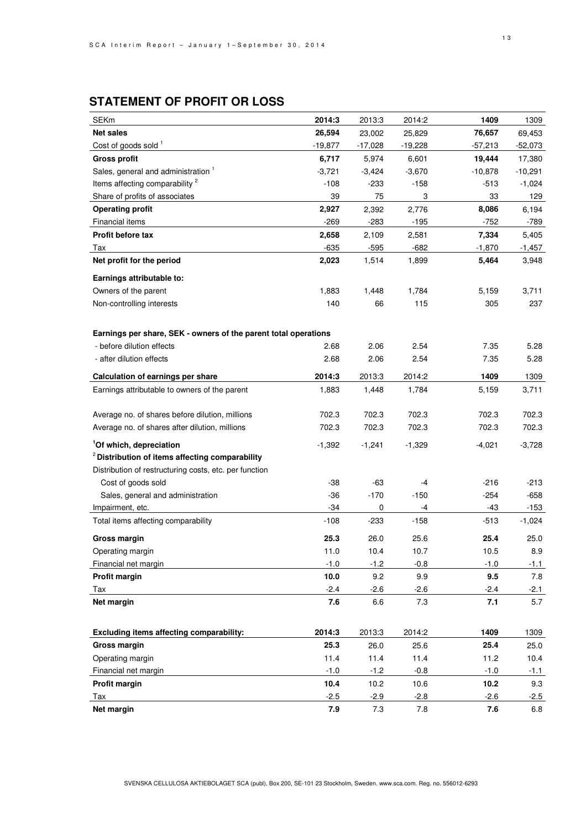# **STATEMENT OF PROFIT OR LOSS**

| <b>SEKm</b>                                                     | 2014:3    | 2013:3    | 2014:2    | 1409      | 1309      |
|-----------------------------------------------------------------|-----------|-----------|-----------|-----------|-----------|
| <b>Net sales</b>                                                | 26,594    | 23,002    | 25,829    | 76,657    | 69,453    |
| Cost of goods sold 1                                            | $-19,877$ | $-17,028$ | $-19,228$ | $-57,213$ | $-52,073$ |
| <b>Gross profit</b>                                             | 6,717     | 5,974     | 6,601     | 19,444    | 17,380    |
| Sales, general and administration <sup>1</sup>                  | $-3,721$  | $-3,424$  | $-3,670$  | $-10,878$ | $-10,291$ |
| Items affecting comparability <sup>2</sup>                      | $-108$    | $-233$    | $-158$    | $-513$    | $-1,024$  |
| Share of profits of associates                                  | 39        | 75        | 3         | 33        | 129       |
| <b>Operating profit</b>                                         | 2,927     | 2,392     | 2,776     | 8,086     | 6,194     |
| Financial items                                                 | $-269$    | $-283$    | $-195$    | $-752$    | -789      |
| Profit before tax                                               | 2,658     | 2,109     | 2,581     | 7,334     | 5,405     |
| Tax                                                             | $-635$    | $-595$    | $-682$    | $-1,870$  | $-1,457$  |
| Net profit for the period                                       | 2,023     | 1,514     | 1,899     | 5,464     | 3,948     |
| Earnings attributable to:                                       |           |           |           |           |           |
| Owners of the parent                                            | 1,883     | 1,448     | 1,784     | 5,159     | 3,711     |
| Non-controlling interests                                       | 140       | 66        | 115       | 305       | 237       |
|                                                                 |           |           |           |           |           |
|                                                                 |           |           |           |           |           |
| Earnings per share, SEK - owners of the parent total operations |           |           |           |           |           |
| - before dilution effects                                       | 2.68      | 2.06      | 2.54      | 7.35      | 5.28      |
| - after dilution effects                                        | 2.68      | 2.06      | 2.54      | 7.35      | 5.28      |
| Calculation of earnings per share                               | 2014:3    | 2013:3    | 2014:2    | 1409      | 1309      |
| Earnings attributable to owners of the parent                   | 1,883     | 1,448     | 1,784     | 5,159     | 3,711     |
|                                                                 |           |           |           |           |           |
| Average no. of shares before dilution, millions                 | 702.3     | 702.3     | 702.3     | 702.3     | 702.3     |
| Average no. of shares after dilution, millions                  | 702.3     | 702.3     | 702.3     | 702.3     | 702.3     |
| <sup>1</sup> Of which, depreciation                             | $-1,392$  | $-1,241$  | $-1,329$  | -4,021    | $-3,728$  |
| $2$ Distribution of items affecting comparability               |           |           |           |           |           |
| Distribution of restructuring costs, etc. per function          |           |           |           |           |           |
| Cost of goods sold                                              | -38       | -63       | -4        | $-216$    | $-213$    |
| Sales, general and administration                               | $-36$     | -170      | $-150$    | -254      | $-658$    |
| Impairment, etc.                                                | $-34$     | 0         | -4        | $-43$     | -153      |
| Total items affecting comparability                             | -108      | $-233$    | $-158$    | $-513$    | $-1,024$  |
| Gross margin                                                    | 25.3      | 26.0      | 25.6      | 25.4      | 25.0      |
| Operating margin                                                | 11.0      | 10.4      | 10.7      | 10.5      | 8.9       |
| Financial net margin                                            | $-1.0$    | $-1.2$    | $-0.8$    | $-1.0$    | $-1.1$    |
| Profit margin                                                   | 10.0      | 9.2       | 9.9       | 9.5       | 7.8       |
| Tax                                                             | $-2.4$    | $-2.6$    | $-2.6$    | $-2.4$    | $-2.1$    |
| Net margin                                                      | 7.6       | 6.6       | 7.3       | 7.1       | 5.7       |
|                                                                 |           |           |           |           |           |
| Excluding items affecting comparability:                        | 2014:3    | 2013:3    | 2014:2    | 1409      | 1309      |
| Gross margin                                                    | 25.3      | 26.0      | 25.6      | 25.4      | 25.0      |
| Operating margin                                                | 11.4      | 11.4      | 11.4      | 11.2      | 10.4      |
| Financial net margin                                            | $-1.0$    | $-1.2$    | $-0.8$    | $-1.0$    | $-1.1$    |
| Profit margin                                                   | 10.4      | 10.2      | 10.6      | 10.2      | 9.3       |
| Tax                                                             | $-2.5$    | $-2.9$    | $-2.8$    | $-2.6$    | $-2.5$    |
| Net margin                                                      | 7.9       | 7.3       | 7.8       | 7.6       | 6.8       |
|                                                                 |           |           |           |           |           |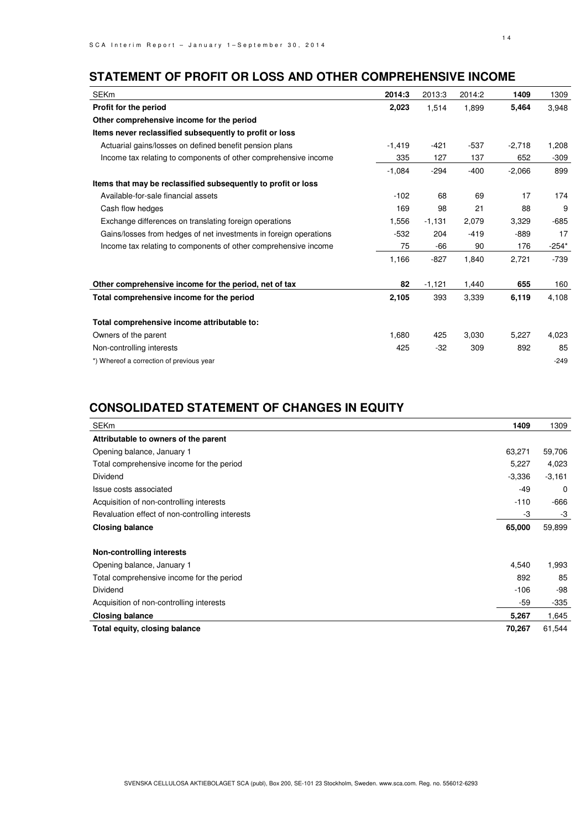# **STATEMENT OF PROFIT OR LOSS AND OTHER COMPREHENSIVE INCOME**

| <b>SEKm</b>                                                       | 2014:3   | 2013:3   | 2014:2 | 1409     | 1309    |
|-------------------------------------------------------------------|----------|----------|--------|----------|---------|
| Profit for the period                                             | 2,023    | 1,514    | 1,899  | 5,464    | 3,948   |
| Other comprehensive income for the period                         |          |          |        |          |         |
| Items never reclassified subsequently to profit or loss           |          |          |        |          |         |
| Actuarial gains/losses on defined benefit pension plans           | $-1,419$ | $-421$   | $-537$ | $-2,718$ | 1,208   |
| Income tax relating to components of other comprehensive income   | 335      | 127      | 137    | 652      | $-309$  |
|                                                                   | $-1,084$ | $-294$   | $-400$ | $-2,066$ | 899     |
| Items that may be reclassified subsequently to profit or loss     |          |          |        |          |         |
| Available-for-sale financial assets                               | $-102$   | 68       | 69     | 17       | 174     |
| Cash flow hedges                                                  | 169      | 98       | 21     | 88       | 9       |
| Exchange differences on translating foreign operations            | 1,556    | $-1,131$ | 2,079  | 3,329    | $-685$  |
| Gains/losses from hedges of net investments in foreign operations | $-532$   | 204      | $-419$ | -889     | 17      |
| Income tax relating to components of other comprehensive income   | 75       | -66      | 90     | 176      | $-254*$ |
|                                                                   | 1,166    | $-827$   | 1,840  | 2,721    | -739    |
| Other comprehensive income for the period, net of tax             | 82       | $-1,121$ | 1,440  | 655      | 160     |
| Total comprehensive income for the period                         | 2,105    | 393      | 3,339  | 6,119    | 4,108   |
| Total comprehensive income attributable to:                       |          |          |        |          |         |
| Owners of the parent                                              | 1,680    | 425      | 3,030  | 5,227    | 4,023   |
| Non-controlling interests                                         | 425      | $-32$    | 309    | 892      | 85      |
| *) Whereof a correction of previous year                          |          |          |        |          | $-249$  |

# **CONSOLIDATED STATEMENT OF CHANGES IN EQUITY**

| <b>SEKm</b>                                     | 1409     | 1309     |
|-------------------------------------------------|----------|----------|
| Attributable to owners of the parent            |          |          |
| Opening balance, January 1                      | 63,271   | 59,706   |
| Total comprehensive income for the period       | 5,227    | 4,023    |
| Dividend                                        | $-3,336$ | $-3,161$ |
| Issue costs associated                          | $-49$    | 0        |
| Acquisition of non-controlling interests        | $-110$   | $-666$   |
| Revaluation effect of non-controlling interests | -3       | -3       |
| <b>Closing balance</b>                          | 65,000   | 59,899   |
| Non-controlling interests                       |          |          |
| Opening balance, January 1                      | 4,540    | 1,993    |
| Total comprehensive income for the period       | 892      | 85       |
| <b>Dividend</b>                                 | $-106$   | -98      |
| Acquisition of non-controlling interests        | -59      | $-335$   |
| <b>Closing balance</b>                          | 5,267    | 1,645    |
| Total equity, closing balance                   | 70,267   | 61,544   |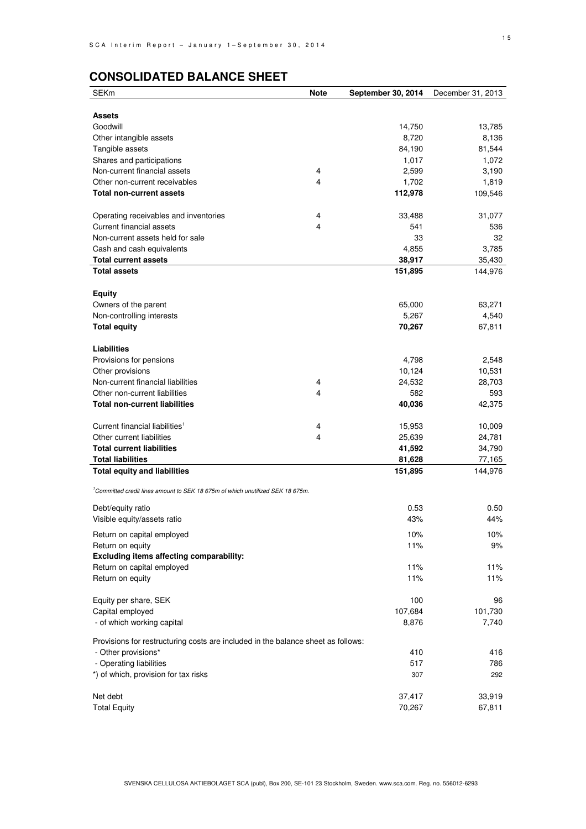# **CONSOLIDATED BALANCE SHEET**

| <b>SEKm</b>                                                                                | <b>Note</b> | September 30, 2014 | December 31, 2013 |
|--------------------------------------------------------------------------------------------|-------------|--------------------|-------------------|
|                                                                                            |             |                    |                   |
| <b>Assets</b>                                                                              |             |                    |                   |
| Goodwill                                                                                   |             | 14,750             | 13,785            |
| Other intangible assets                                                                    |             | 8,720              | 8,136             |
| Tangible assets                                                                            |             | 84,190             | 81,544            |
| Shares and participations                                                                  |             | 1,017              | 1,072             |
| Non-current financial assets                                                               | 4           | 2,599              | 3,190             |
| Other non-current receivables                                                              | 4           | 1,702              | 1,819             |
| <b>Total non-current assets</b>                                                            |             | 112,978            | 109,546           |
|                                                                                            |             |                    |                   |
| Operating receivables and inventories<br><b>Current financial assets</b>                   | 4<br>4      | 33,488             | 31,077            |
|                                                                                            |             | 541                | 536               |
| Non-current assets held for sale                                                           |             | 33                 | 32                |
| Cash and cash equivalents<br><b>Total current assets</b>                                   |             | 4,855              | 3,785             |
|                                                                                            |             | 38,917             | 35,430            |
| <b>Total assets</b>                                                                        |             | 151,895            | 144,976           |
| <b>Equity</b>                                                                              |             |                    |                   |
| Owners of the parent                                                                       |             | 65,000             | 63,271            |
| Non-controlling interests                                                                  |             | 5,267              | 4,540             |
| <b>Total equity</b>                                                                        |             | 70,267             | 67,811            |
|                                                                                            |             |                    |                   |
| Liabilities                                                                                |             |                    |                   |
| Provisions for pensions                                                                    |             | 4,798              | 2,548             |
| Other provisions                                                                           |             | 10,124             | 10,531            |
| Non-current financial liabilities                                                          | 4           | 24,532             | 28,703            |
| Other non-current liabilities                                                              | 4           | 582                | 593               |
| <b>Total non-current liabilities</b>                                                       |             | 40,036             | 42,375            |
|                                                                                            |             |                    |                   |
| Current financial liabilities <sup>1</sup>                                                 | 4           | 15,953             | 10,009            |
| Other current liabilities                                                                  | 4           | 25,639             | 24,781            |
| <b>Total current liabilities</b>                                                           |             | 41,592             | 34,790            |
| <b>Total liabilities</b>                                                                   |             | 81,628             | 77,165            |
| <b>Total equity and liabilities</b>                                                        |             | 151,895            | 144,976           |
| <sup>1</sup> Committed credit lines amount to SEK 18 675m of which unutilized SEK 18 675m. |             |                    |                   |
| Debt/equity ratio                                                                          |             | 0.53               | 0.50              |
| Visible equity/assets ratio                                                                |             | 43%                | 44%               |
|                                                                                            |             |                    |                   |
| Return on capital employed                                                                 |             | 10%                | 10%               |
| Return on equity                                                                           |             | 11%                | 9%                |
| Excluding items affecting comparability:                                                   |             |                    |                   |
| Return on capital employed                                                                 |             | 11%                | 11%               |
| Return on equity                                                                           |             | 11%                | 11%               |
| Equity per share, SEK                                                                      |             | 100                | 96                |
| Capital employed                                                                           |             | 107,684            | 101,730           |
| - of which working capital                                                                 |             | 8,876              | 7,740             |
|                                                                                            |             |                    |                   |
| Provisions for restructuring costs are included in the balance sheet as follows:           |             |                    |                   |
| - Other provisions*                                                                        |             | 410                | 416               |
| - Operating liabilities                                                                    |             | 517                | 786               |
| *) of which, provision for tax risks                                                       |             | 307                | 292               |
|                                                                                            |             |                    |                   |
| Net debt                                                                                   |             | 37,417             | 33,919            |
| <b>Total Equity</b>                                                                        |             | 70,267             | 67,811            |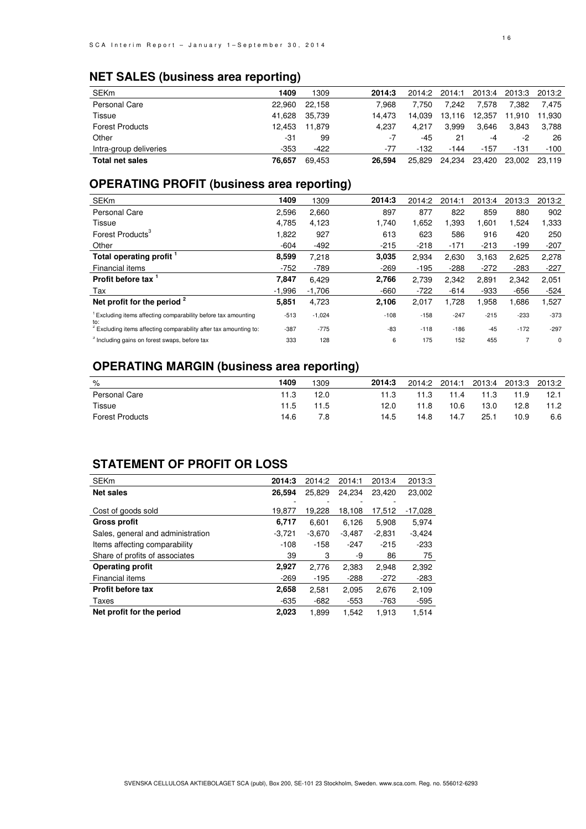# **NET SALES (business area reporting)**

| <b>SEKm</b>            | 1409   | 1309   | 2014:3 | 2014:2 | 2014:1 |        | 2013:4 2013:3 | 2013:2 |
|------------------------|--------|--------|--------|--------|--------|--------|---------------|--------|
| Personal Care          | 22.960 | 22.158 | 7.968  | 7.750  | 7.242  | 7.578  | 7.382         | 7.475  |
| Tissue                 | 41.628 | 35.739 | 14.473 | 14.039 | 13,116 | 12.357 | 11.910        | 11,930 |
| <b>Forest Products</b> | 12.453 | 11.879 | 4.237  | 4.217  | 3.999  | 3.646  | 3.843         | 3.788  |
| Other                  | -31    | 99     | -7     | -45    | 21     | -4     | -2            | 26     |
| Intra-group deliveries | $-353$ | $-422$ | $-77$  | $-132$ | $-144$ | $-157$ | $-131$        | $-100$ |
| <b>Total net sales</b> | 76.657 | 69.453 | 26.594 | 25.829 | 24,234 | 23,420 | 23,002        | 23.119 |

# **OPERATING PROFIT (business area reporting)**

| <b>SEKm</b>                                                                      | 1409     | 1309     | 2014:3 | 2014:2 | 2014:1 | 2013:4 | 2013:3 | 2013:2 |
|----------------------------------------------------------------------------------|----------|----------|--------|--------|--------|--------|--------|--------|
| <b>Personal Care</b>                                                             | 2,596    | 2,660    | 897    | 877    | 822    | 859    | 880    | 902    |
| <b>Tissue</b>                                                                    | 4,785    | 4,123    | 1,740  | 1,652  | 1,393  | 1,601  | 1,524  | .333   |
| Forest Products <sup>3</sup>                                                     | 1,822    | 927      | 613    | 623    | 586    | 916    | 420    | 250    |
| Other                                                                            | $-604$   | $-492$   | $-215$ | $-218$ | $-171$ | $-213$ | $-199$ | $-207$ |
| Total operating profit                                                           | 8,599    | 7,218    | 3,035  | 2,934  | 2,630  | 3,163  | 2,625  | 2,278  |
| Financial items                                                                  | $-752$   | $-789$   | $-269$ | $-195$ | $-288$ | $-272$ | $-283$ | $-227$ |
| Profit before tax                                                                | 7.847    | 6.429    | 2.766  | 2,739  | 2,342  | 2,891  | 2,342  | 2,051  |
| Tax                                                                              | $-1.996$ | $-1,706$ | $-660$ | $-722$ | $-614$ | -933   | $-656$ | $-524$ |
| Net profit for the period $2$                                                    | 5,851    | 4,723    | 2,106  | 2,017  | 1,728  | 1,958  | 1,686  | 1,527  |
| <sup>1</sup> Excluding items affecting comparability before tax amounting<br>to: | $-513$   | $-1,024$ | $-108$ | $-158$ | $-247$ | $-215$ | $-233$ | $-373$ |
| <sup>2</sup> Excluding items affecting comparability after tax amounting to:     | $-387$   | $-775$   | -83    | $-118$ | $-186$ | $-45$  | $-172$ | $-297$ |
| <sup>3</sup> Including gains on forest swaps, before tax                         | 333      | 128      | 6      | 175    | 152    | 455    |        | 0      |

# **OPERATING MARGIN (business area reporting)**

| %                      | 1409 | 1309 | 2014:3 | 2014:2 | 2014:1 | 2013:4 | 2013:3 2013:2 |      |
|------------------------|------|------|--------|--------|--------|--------|---------------|------|
| Personal Care          | 11.3 | 12.0 | 11.3   | 11.3   | 11.4   | 11.3   | 11.9          | 12.1 |
| Tissue                 | 11.5 | 11.5 | 12.0   | 11.8   | 10.6   | 13.0   | 12.8          | 11.2 |
| <b>Forest Products</b> | 14.6 | 7.8  | 14.5   | 14.8   | 14.7   | 25.1   | 10.9          | 6.6  |

# **STATEMENT OF PROFIT OR LOSS**

| <b>SEKm</b>                       | 2014:3   | 2014:2   | 2014:1   | 2013:4   | 2013:3    |
|-----------------------------------|----------|----------|----------|----------|-----------|
| <b>Net sales</b>                  | 26,594   | 25.829   | 24.234   | 23.420   | 23,002    |
|                                   |          |          |          |          |           |
| Cost of goods sold                | 19,877   | 19.228   | 18.108   | 17.512   | $-17,028$ |
| <b>Gross profit</b>               | 6,717    | 6,601    | 6,126    | 5,908    | 5,974     |
| Sales, general and administration | $-3.721$ | $-3.670$ | $-3.487$ | $-2.831$ | $-3.424$  |
| Items affecting comparability     | $-108$   | $-158$   | $-247$   | $-215$   | $-233$    |
| Share of profits of associates    | 39       | 3        | -9       | 86       | 75        |
| <b>Operating profit</b>           | 2,927    | 2.776    | 2,383    | 2.948    | 2,392     |
| Financial items                   | $-269$   | $-195$   | $-288$   | $-272$   | $-283$    |
| <b>Profit before tax</b>          | 2,658    | 2,581    | 2,095    | 2,676    | 2,109     |
| Taxes                             | $-635$   | -682     | $-553$   | $-763$   | $-595$    |
| Net profit for the period         | 2.023    | 1.899    | 1.542    | 1.913    | 1.514     |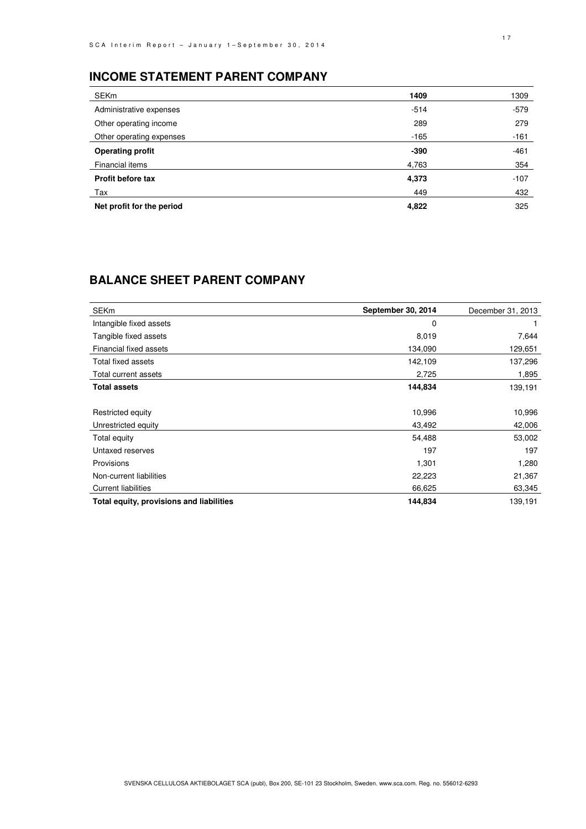# **INCOME STATEMENT PARENT COMPANY**

| <b>SEKm</b>               | 1409   | 1309   |
|---------------------------|--------|--------|
| Administrative expenses   | $-514$ | $-579$ |
| Other operating income    | 289    | 279    |
| Other operating expenses  | $-165$ | $-161$ |
| <b>Operating profit</b>   | -390   | $-461$ |
| Financial items           | 4,763  | 354    |
| Profit before tax         | 4,373  | $-107$ |
| Tax                       | 449    | 432    |
| Net profit for the period | 4,822  | 325    |

# **BALANCE SHEET PARENT COMPANY**

| <b>SEKm</b>                              | September 30, 2014 | December 31, 2013 |
|------------------------------------------|--------------------|-------------------|
| Intangible fixed assets                  | 0                  |                   |
| Tangible fixed assets                    | 8,019              | 7,644             |
| Financial fixed assets                   | 134,090            | 129,651           |
| Total fixed assets                       | 142,109            | 137,296           |
| Total current assets                     | 2,725              | 1,895             |
| <b>Total assets</b>                      | 144,834            | 139,191           |
|                                          |                    |                   |
| Restricted equity                        | 10,996             | 10,996            |
| Unrestricted equity                      | 43,492             | 42,006            |
| Total equity                             | 54,488             | 53,002            |
| Untaxed reserves                         | 197                | 197               |
| Provisions                               | 1,301              | 1,280             |
| Non-current liabilities                  | 22,223             | 21,367            |
| <b>Current liabilities</b>               | 66,625             | 63,345            |
| Total equity, provisions and liabilities | 144,834            | 139,191           |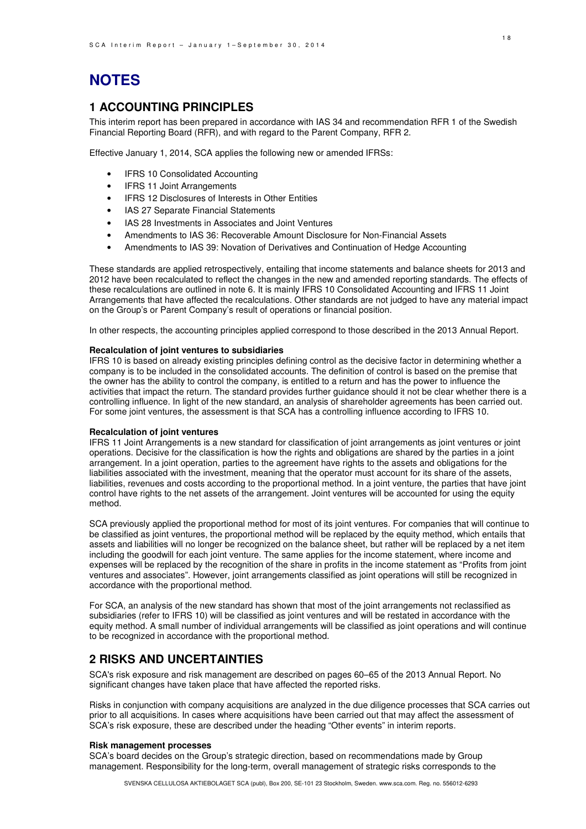# **NOTES**

### **1 ACCOUNTING PRINCIPLES**

This interim report has been prepared in accordance with IAS 34 and recommendation RFR 1 of the Swedish Financial Reporting Board (RFR), and with regard to the Parent Company, RFR 2.

Effective January 1, 2014, SCA applies the following new or amended IFRSs:

- IFRS 10 Consolidated Accounting
- **IFRS 11 Joint Arrangements**
- IFRS 12 Disclosures of Interests in Other Entities
- IAS 27 Separate Financial Statements
- IAS 28 Investments in Associates and Joint Ventures
- Amendments to IAS 36: Recoverable Amount Disclosure for Non-Financial Assets
- Amendments to IAS 39: Novation of Derivatives and Continuation of Hedge Accounting

These standards are applied retrospectively, entailing that income statements and balance sheets for 2013 and 2012 have been recalculated to reflect the changes in the new and amended reporting standards. The effects of these recalculations are outlined in note 6. It is mainly IFRS 10 Consolidated Accounting and IFRS 11 Joint Arrangements that have affected the recalculations. Other standards are not judged to have any material impact on the Group's or Parent Company's result of operations or financial position.

In other respects, the accounting principles applied correspond to those described in the 2013 Annual Report.

#### **Recalculation of joint ventures to subsidiaries**

IFRS 10 is based on already existing principles defining control as the decisive factor in determining whether a company is to be included in the consolidated accounts. The definition of control is based on the premise that the owner has the ability to control the company, is entitled to a return and has the power to influence the activities that impact the return. The standard provides further guidance should it not be clear whether there is a controlling influence. In light of the new standard, an analysis of shareholder agreements has been carried out. For some joint ventures, the assessment is that SCA has a controlling influence according to IFRS 10.

#### **Recalculation of joint ventures**

IFRS 11 Joint Arrangements is a new standard for classification of joint arrangements as joint ventures or joint operations. Decisive for the classification is how the rights and obligations are shared by the parties in a joint arrangement. In a joint operation, parties to the agreement have rights to the assets and obligations for the liabilities associated with the investment, meaning that the operator must account for its share of the assets, liabilities, revenues and costs according to the proportional method. In a joint venture, the parties that have joint control have rights to the net assets of the arrangement. Joint ventures will be accounted for using the equity method.

SCA previously applied the proportional method for most of its joint ventures. For companies that will continue to be classified as joint ventures, the proportional method will be replaced by the equity method, which entails that assets and liabilities will no longer be recognized on the balance sheet, but rather will be replaced by a net item including the goodwill for each joint venture. The same applies for the income statement, where income and expenses will be replaced by the recognition of the share in profits in the income statement as "Profits from joint ventures and associates". However, joint arrangements classified as joint operations will still be recognized in accordance with the proportional method.

For SCA, an analysis of the new standard has shown that most of the joint arrangements not reclassified as subsidiaries (refer to IFRS 10) will be classified as joint ventures and will be restated in accordance with the equity method. A small number of individual arrangements will be classified as joint operations and will continue to be recognized in accordance with the proportional method.

### **2 RISKS AND UNCERTAINTIES**

SCA's risk exposure and risk management are described on pages 60–65 of the 2013 Annual Report. No significant changes have taken place that have affected the reported risks.

Risks in conjunction with company acquisitions are analyzed in the due diligence processes that SCA carries out prior to all acquisitions. In cases where acquisitions have been carried out that may affect the assessment of SCA's risk exposure, these are described under the heading "Other events" in interim reports.

#### **Risk management processes**

SCA's board decides on the Group's strategic direction, based on recommendations made by Group management. Responsibility for the long-term, overall management of strategic risks corresponds to the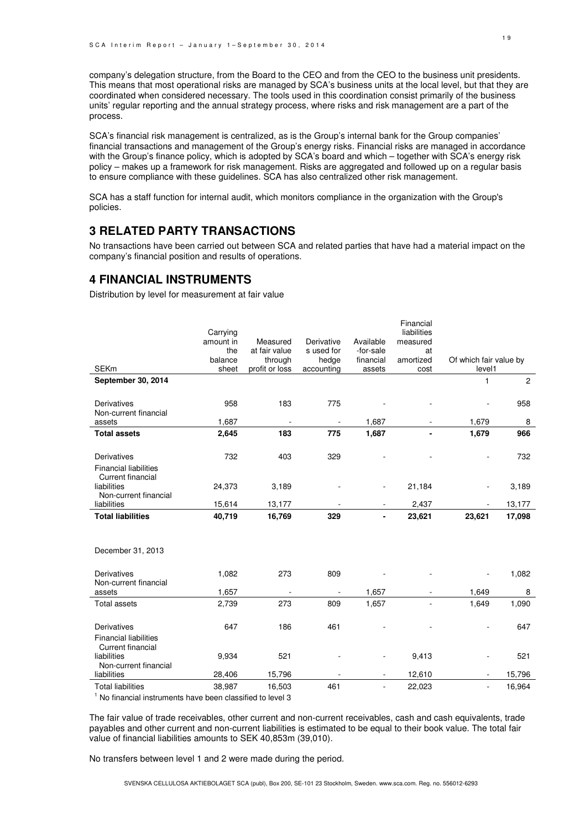company's delegation structure, from the Board to the CEO and from the CEO to the business unit presidents. This means that most operational risks are managed by SCA's business units at the local level, but that they are coordinated when considered necessary. The tools used in this coordination consist primarily of the business units' regular reporting and the annual strategy process, where risks and risk management are a part of the process.

SCA's financial risk management is centralized, as is the Group's internal bank for the Group companies' financial transactions and management of the Group's energy risks. Financial risks are managed in accordance with the Group's finance policy, which is adopted by SCA's board and which – together with SCA's energy risk policy – makes up a framework for risk management. Risks are aggregated and followed up on a regular basis to ensure compliance with these guidelines. SCA has also centralized other risk management.

SCA has a staff function for internal audit, which monitors compliance in the organization with the Group's policies.

## **3 RELATED PARTY TRANSACTIONS**

No transactions have been carried out between SCA and related parties that have had a material impact on the company's financial position and results of operations.

### **4 FINANCIAL INSTRUMENTS**

Distribution by level for measurement at fair value

|                              |           |                          |                          |                          | Financial   |                          |        |
|------------------------------|-----------|--------------------------|--------------------------|--------------------------|-------------|--------------------------|--------|
|                              | Carrying  |                          |                          |                          | liabilities |                          |        |
|                              | amount in | Measured                 | Derivative               | Available                | measured    |                          |        |
|                              | the       | at fair value            | s used for               | -for-sale                | at          |                          |        |
|                              | balance   | through                  | hedge                    | financial                | amortized   | Of which fair value by   |        |
| <b>SEKm</b>                  | sheet     | profit or loss           | accounting               | assets                   | cost        | level1                   |        |
| September 30, 2014           |           |                          |                          |                          |             | $\mathbf{1}$             | 2      |
|                              |           |                          |                          |                          |             |                          |        |
| Derivatives                  | 958       | 183                      | 775                      |                          |             |                          | 958    |
| Non-current financial        |           |                          |                          |                          |             |                          |        |
| assets                       | 1,687     | $\overline{\phantom{a}}$ | $\overline{\phantom{a}}$ | 1,687                    |             | 1,679                    | 8      |
| <b>Total assets</b>          | 2,645     | 183                      | 775                      | 1,687                    |             | 1,679                    | 966    |
|                              |           |                          |                          |                          |             |                          |        |
| Derivatives                  | 732       | 403                      | 329                      |                          |             |                          | 732    |
| <b>Financial liabilities</b> |           |                          |                          |                          |             |                          |        |
| Current financial            |           |                          |                          |                          |             |                          |        |
| liabilities                  | 24,373    | 3,189                    |                          | $\overline{\phantom{a}}$ | 21,184      |                          | 3,189  |
| Non-current financial        |           |                          |                          |                          |             |                          |        |
| liabilities                  | 15,614    | 13,177                   |                          | $\overline{\phantom{a}}$ | 2,437       |                          | 13,177 |
| <b>Total liabilities</b>     | 40,719    | 16,769                   | 329                      |                          | 23,621      | 23,621                   | 17,098 |
|                              |           |                          |                          |                          |             |                          |        |
|                              |           |                          |                          |                          |             |                          |        |
|                              |           |                          |                          |                          |             |                          |        |
| December 31, 2013            |           |                          |                          |                          |             |                          |        |
|                              |           |                          |                          |                          |             |                          |        |
| Derivatives                  | 1,082     | 273                      | 809                      |                          |             |                          | 1,082  |
| Non-current financial        |           |                          |                          |                          |             |                          |        |
| assets                       | 1,657     | $\blacksquare$           | $\blacksquare$           | 1,657                    |             | 1,649                    | 8      |
| <b>Total assets</b>          | 2,739     | 273                      | 809                      | 1,657                    |             | 1,649                    | 1,090  |
|                              |           |                          |                          |                          |             |                          |        |
| Derivatives                  | 647       | 186                      | 461                      |                          |             |                          | 647    |
| <b>Financial liabilities</b> |           |                          |                          |                          |             |                          |        |
| Current financial            |           |                          |                          |                          |             |                          |        |
| liabilities                  | 9,934     | 521                      |                          |                          | 9,413       |                          | 521    |
| Non-current financial        |           |                          |                          |                          |             |                          |        |
| liabilities                  | 28,406    | 15,796                   |                          |                          | 12,610      |                          | 15,796 |
| <b>Total liabilities</b>     | 38,987    | 16,503                   | 461                      | $\overline{\phantom{a}}$ | 22,023      | $\overline{\phantom{a}}$ | 16,964 |

<sup>1</sup> No financial instruments have been classified to level 3

The fair value of trade receivables, other current and non-current receivables, cash and cash equivalents, trade payables and other current and non-current liabilities is estimated to be equal to their book value. The total fair value of financial liabilities amounts to SEK 40,853m (39,010).

No transfers between level 1 and 2 were made during the period.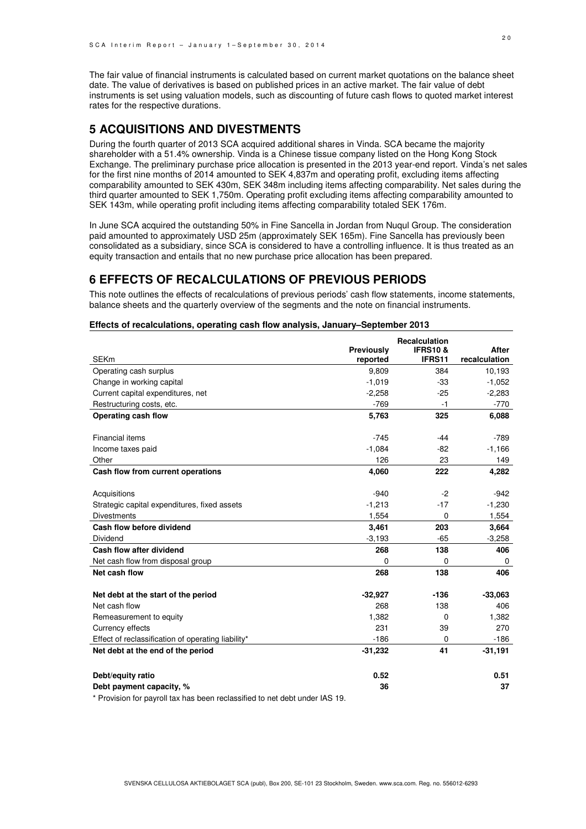The fair value of financial instruments is calculated based on current market quotations on the balance sheet date. The value of derivatives is based on published prices in an active market. The fair value of debt instruments is set using valuation models, such as discounting of future cash flows to quoted market interest rates for the respective durations.

## **5 ACQUISITIONS AND DIVESTMENTS**

During the fourth quarter of 2013 SCA acquired additional shares in Vinda. SCA became the majority shareholder with a 51.4% ownership. Vinda is a Chinese tissue company listed on the Hong Kong Stock Exchange. The preliminary purchase price allocation is presented in the 2013 year-end report. Vinda's net sales for the first nine months of 2014 amounted to SEK 4,837m and operating profit, excluding items affecting comparability amounted to SEK 430m, SEK 348m including items affecting comparability. Net sales during the third quarter amounted to SEK 1,750m. Operating profit excluding items affecting comparability amounted to SEK 143m, while operating profit including items affecting comparability totaled SEK 176m.

In June SCA acquired the outstanding 50% in Fine Sancella in Jordan from Nuqul Group. The consideration paid amounted to approximately USD 25m (approximately SEK 165m). Fine Sancella has previously been consolidated as a subsidiary, since SCA is considered to have a controlling influence. It is thus treated as an equity transaction and entails that no new purchase price allocation has been prepared.

### **6 EFFECTS OF RECALCULATIONS OF PREVIOUS PERIODS**

This note outlines the effects of recalculations of previous periods' cash flow statements, income statements, balance sheets and the quarterly overview of the segments and the note on financial instruments.

#### **Effects of recalculations, operating cash flow analysis, January–September 2013**

|                                                                             |                        | <b>Recalculation</b>         |                               |
|-----------------------------------------------------------------------------|------------------------|------------------------------|-------------------------------|
| <b>SEKm</b>                                                                 | Previously<br>reported | <b>IFRS10&amp;</b><br>IFRS11 | <b>After</b><br>recalculation |
| Operating cash surplus                                                      | 9,809                  | 384                          | 10,193                        |
| Change in working capital                                                   | $-1,019$               | -33                          | $-1,052$                      |
| Current capital expenditures, net                                           | $-2,258$               | $-25$                        | $-2,283$                      |
| Restructuring costs, etc.                                                   | $-769$                 | -1                           | $-770$                        |
| Operating cash flow                                                         | 5,763                  | 325                          | 6,088                         |
|                                                                             |                        |                              |                               |
| Financial items                                                             | $-745$                 | $-44$                        | $-789$                        |
| Income taxes paid                                                           | $-1,084$               | $-82$                        | $-1,166$                      |
| Other                                                                       | 126                    | 23                           | 149                           |
| Cash flow from current operations                                           | 4,060                  | 222                          | 4,282                         |
|                                                                             |                        |                              |                               |
| Acquisitions                                                                | $-940$                 | $-2$                         | $-942$                        |
| Strategic capital expenditures, fixed assets                                | $-1,213$               | $-17$                        | $-1,230$                      |
| <b>Divestments</b>                                                          | 1,554                  | $\mathbf 0$                  | 1,554                         |
| Cash flow before dividend                                                   | 3,461                  | 203                          | 3,664                         |
| Dividend                                                                    | $-3,193$               | $-65$                        | $-3,258$                      |
| Cash flow after dividend                                                    | 268                    | 138                          | 406                           |
| Net cash flow from disposal group                                           | 0                      | 0                            | 0                             |
| Net cash flow                                                               | 268                    | 138                          | 406                           |
| Net debt at the start of the period                                         | $-32,927$              | -136                         | $-33,063$                     |
| Net cash flow                                                               | 268                    | 138                          | 406                           |
| Remeasurement to equity                                                     | 1,382                  | 0                            | 1,382                         |
| Currency effects                                                            | 231                    | 39                           | 270                           |
| Effect of reclassification of operating liability*                          | $-186$                 | 0                            | $-186$                        |
| Net debt at the end of the period                                           | $-31,232$              | 41                           | $-31,191$                     |
| Debt/equity ratio                                                           | 0.52                   |                              | 0.51                          |
| Debt payment capacity, %                                                    | 36                     |                              | 37                            |
| * Provision for payroll tax has been reclassified to net debt under IAS 19. |                        |                              |                               |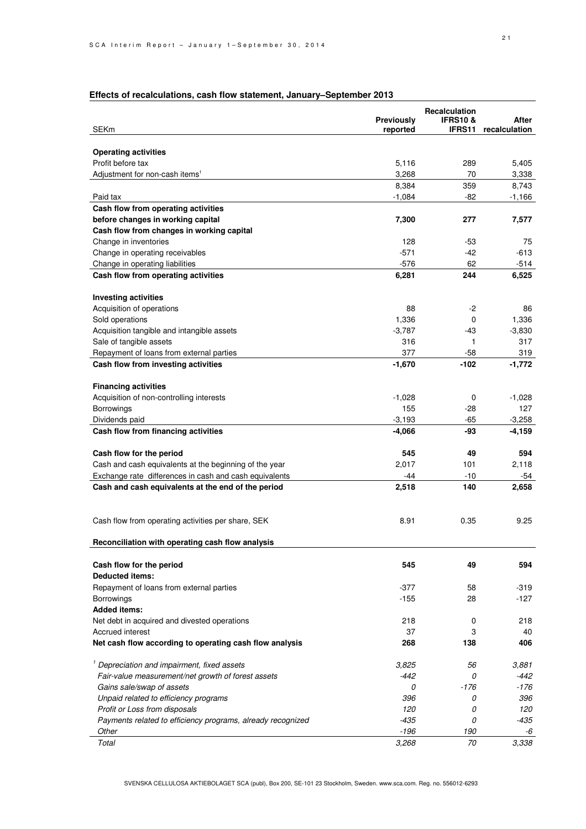### **Effects of recalculations, cash flow statement, January–September 2013**

| <b>Operating activities</b><br>Profit before tax<br>5,116<br>289<br>5,405<br>Adjustment for non-cash items <sup>1</sup><br>3,268<br>70<br>3,338<br>359<br>8,384<br>8,743<br>Paid tax<br>$-1,084$<br>-82<br>$-1,166$<br>Cash flow from operating activities<br>before changes in working capital<br>7,300<br>277<br>7,577<br>Cash flow from changes in working capital<br>Change in inventories<br>128<br>-53<br>75<br>Change in operating receivables<br>$-571$<br>$-613$<br>-42<br>$-576$<br>62<br>$-514$<br>Change in operating liabilities<br>Cash flow from operating activities<br>6,281<br>244<br>6,525<br><b>Investing activities</b><br>Acquisition of operations<br>88<br>$-2$<br>86<br>Sold operations<br>1,336<br>0<br>1,336<br>Acquisition tangible and intangible assets<br>$-3,787$<br>$-3,830$<br>-43<br>Sale of tangible assets<br>316<br>317<br>1<br>377<br>Repayment of loans from external parties<br>$-58$<br>319<br>Cash flow from investing activities<br>$-1,670$<br>-102<br>$-1,772$<br><b>Financing activities</b><br>Acquisition of non-controlling interests<br>$-1,028$<br>0<br>$-1,028$<br>155<br>Borrowings<br>127<br>-28<br>$-65$<br>$-3,258$<br>Dividends paid<br>$-3,193$<br>Cash flow from financing activities<br>$-4,066$<br>-93<br>$-4,159$<br>545<br>49<br>594<br>Cash flow for the period<br>Cash and cash equivalents at the beginning of the year<br>2,017<br>101<br>2,118<br>Exchange rate differences in cash and cash equivalents<br>$-10$<br>-44<br>-54<br>Cash and cash equivalents at the end of the period<br>2,518<br>140<br>2,658<br>8.91<br>0.35<br>9.25<br>Cash flow from operating activities per share, SEK<br>Reconciliation with operating cash flow analysis<br>Cash flow for the period<br>545<br>594<br>49<br><b>Deducted items:</b><br>Repayment of loans from external parties<br>-377<br>58<br>-319<br>$-127$<br>$-155$<br>28<br><b>Borrowings</b><br><b>Added items:</b><br>Net debt in acquired and divested operations<br>218<br>218<br>0<br>37<br>3<br>Accrued interest<br>40<br>Net cash flow according to operating cash flow analysis<br>268<br>138<br>406<br><sup>1</sup> Depreciation and impairment, fixed assets<br>3,825<br>3,881<br>56<br>Fair-value measurement/net growth of forest assets<br>$-442$<br>0<br>$-442$<br>Gains sale/swap of assets<br>$-176$<br>-176<br>0<br>Unpaid related to efficiency programs<br>396<br>396<br>0<br>Profit or Loss from disposals<br>120<br>120<br>0<br>Payments related to efficiency programs, already recognized<br>-435<br>0<br>-435<br>$-196$<br>Other<br>190<br>-6<br>70<br>3,338<br>Total<br>3,268 | <b>SEKm</b> | Previously<br>reported | <b>Recalculation</b><br><b>IFRS10&amp;</b><br>IFRS11 | After<br>recalculation |
|---------------------------------------------------------------------------------------------------------------------------------------------------------------------------------------------------------------------------------------------------------------------------------------------------------------------------------------------------------------------------------------------------------------------------------------------------------------------------------------------------------------------------------------------------------------------------------------------------------------------------------------------------------------------------------------------------------------------------------------------------------------------------------------------------------------------------------------------------------------------------------------------------------------------------------------------------------------------------------------------------------------------------------------------------------------------------------------------------------------------------------------------------------------------------------------------------------------------------------------------------------------------------------------------------------------------------------------------------------------------------------------------------------------------------------------------------------------------------------------------------------------------------------------------------------------------------------------------------------------------------------------------------------------------------------------------------------------------------------------------------------------------------------------------------------------------------------------------------------------------------------------------------------------------------------------------------------------------------------------------------------------------------------------------------------------------------------------------------------------------------------------------------------------------------------------------------------------------------------------------------------------------------------------------------------------------------------------------------------------------------------------------------------------------------------------------------------------------------------------------------------------------------------------------------------------------------------------------------------------------------|-------------|------------------------|------------------------------------------------------|------------------------|
|                                                                                                                                                                                                                                                                                                                                                                                                                                                                                                                                                                                                                                                                                                                                                                                                                                                                                                                                                                                                                                                                                                                                                                                                                                                                                                                                                                                                                                                                                                                                                                                                                                                                                                                                                                                                                                                                                                                                                                                                                                                                                                                                                                                                                                                                                                                                                                                                                                                                                                                                                                                                                           |             |                        |                                                      |                        |
|                                                                                                                                                                                                                                                                                                                                                                                                                                                                                                                                                                                                                                                                                                                                                                                                                                                                                                                                                                                                                                                                                                                                                                                                                                                                                                                                                                                                                                                                                                                                                                                                                                                                                                                                                                                                                                                                                                                                                                                                                                                                                                                                                                                                                                                                                                                                                                                                                                                                                                                                                                                                                           |             |                        |                                                      |                        |
|                                                                                                                                                                                                                                                                                                                                                                                                                                                                                                                                                                                                                                                                                                                                                                                                                                                                                                                                                                                                                                                                                                                                                                                                                                                                                                                                                                                                                                                                                                                                                                                                                                                                                                                                                                                                                                                                                                                                                                                                                                                                                                                                                                                                                                                                                                                                                                                                                                                                                                                                                                                                                           |             |                        |                                                      |                        |
|                                                                                                                                                                                                                                                                                                                                                                                                                                                                                                                                                                                                                                                                                                                                                                                                                                                                                                                                                                                                                                                                                                                                                                                                                                                                                                                                                                                                                                                                                                                                                                                                                                                                                                                                                                                                                                                                                                                                                                                                                                                                                                                                                                                                                                                                                                                                                                                                                                                                                                                                                                                                                           |             |                        |                                                      |                        |
|                                                                                                                                                                                                                                                                                                                                                                                                                                                                                                                                                                                                                                                                                                                                                                                                                                                                                                                                                                                                                                                                                                                                                                                                                                                                                                                                                                                                                                                                                                                                                                                                                                                                                                                                                                                                                                                                                                                                                                                                                                                                                                                                                                                                                                                                                                                                                                                                                                                                                                                                                                                                                           |             |                        |                                                      |                        |
|                                                                                                                                                                                                                                                                                                                                                                                                                                                                                                                                                                                                                                                                                                                                                                                                                                                                                                                                                                                                                                                                                                                                                                                                                                                                                                                                                                                                                                                                                                                                                                                                                                                                                                                                                                                                                                                                                                                                                                                                                                                                                                                                                                                                                                                                                                                                                                                                                                                                                                                                                                                                                           |             |                        |                                                      |                        |
|                                                                                                                                                                                                                                                                                                                                                                                                                                                                                                                                                                                                                                                                                                                                                                                                                                                                                                                                                                                                                                                                                                                                                                                                                                                                                                                                                                                                                                                                                                                                                                                                                                                                                                                                                                                                                                                                                                                                                                                                                                                                                                                                                                                                                                                                                                                                                                                                                                                                                                                                                                                                                           |             |                        |                                                      |                        |
|                                                                                                                                                                                                                                                                                                                                                                                                                                                                                                                                                                                                                                                                                                                                                                                                                                                                                                                                                                                                                                                                                                                                                                                                                                                                                                                                                                                                                                                                                                                                                                                                                                                                                                                                                                                                                                                                                                                                                                                                                                                                                                                                                                                                                                                                                                                                                                                                                                                                                                                                                                                                                           |             |                        |                                                      |                        |
|                                                                                                                                                                                                                                                                                                                                                                                                                                                                                                                                                                                                                                                                                                                                                                                                                                                                                                                                                                                                                                                                                                                                                                                                                                                                                                                                                                                                                                                                                                                                                                                                                                                                                                                                                                                                                                                                                                                                                                                                                                                                                                                                                                                                                                                                                                                                                                                                                                                                                                                                                                                                                           |             |                        |                                                      |                        |
|                                                                                                                                                                                                                                                                                                                                                                                                                                                                                                                                                                                                                                                                                                                                                                                                                                                                                                                                                                                                                                                                                                                                                                                                                                                                                                                                                                                                                                                                                                                                                                                                                                                                                                                                                                                                                                                                                                                                                                                                                                                                                                                                                                                                                                                                                                                                                                                                                                                                                                                                                                                                                           |             |                        |                                                      |                        |
|                                                                                                                                                                                                                                                                                                                                                                                                                                                                                                                                                                                                                                                                                                                                                                                                                                                                                                                                                                                                                                                                                                                                                                                                                                                                                                                                                                                                                                                                                                                                                                                                                                                                                                                                                                                                                                                                                                                                                                                                                                                                                                                                                                                                                                                                                                                                                                                                                                                                                                                                                                                                                           |             |                        |                                                      |                        |
|                                                                                                                                                                                                                                                                                                                                                                                                                                                                                                                                                                                                                                                                                                                                                                                                                                                                                                                                                                                                                                                                                                                                                                                                                                                                                                                                                                                                                                                                                                                                                                                                                                                                                                                                                                                                                                                                                                                                                                                                                                                                                                                                                                                                                                                                                                                                                                                                                                                                                                                                                                                                                           |             |                        |                                                      |                        |
|                                                                                                                                                                                                                                                                                                                                                                                                                                                                                                                                                                                                                                                                                                                                                                                                                                                                                                                                                                                                                                                                                                                                                                                                                                                                                                                                                                                                                                                                                                                                                                                                                                                                                                                                                                                                                                                                                                                                                                                                                                                                                                                                                                                                                                                                                                                                                                                                                                                                                                                                                                                                                           |             |                        |                                                      |                        |
|                                                                                                                                                                                                                                                                                                                                                                                                                                                                                                                                                                                                                                                                                                                                                                                                                                                                                                                                                                                                                                                                                                                                                                                                                                                                                                                                                                                                                                                                                                                                                                                                                                                                                                                                                                                                                                                                                                                                                                                                                                                                                                                                                                                                                                                                                                                                                                                                                                                                                                                                                                                                                           |             |                        |                                                      |                        |
|                                                                                                                                                                                                                                                                                                                                                                                                                                                                                                                                                                                                                                                                                                                                                                                                                                                                                                                                                                                                                                                                                                                                                                                                                                                                                                                                                                                                                                                                                                                                                                                                                                                                                                                                                                                                                                                                                                                                                                                                                                                                                                                                                                                                                                                                                                                                                                                                                                                                                                                                                                                                                           |             |                        |                                                      |                        |
|                                                                                                                                                                                                                                                                                                                                                                                                                                                                                                                                                                                                                                                                                                                                                                                                                                                                                                                                                                                                                                                                                                                                                                                                                                                                                                                                                                                                                                                                                                                                                                                                                                                                                                                                                                                                                                                                                                                                                                                                                                                                                                                                                                                                                                                                                                                                                                                                                                                                                                                                                                                                                           |             |                        |                                                      |                        |
|                                                                                                                                                                                                                                                                                                                                                                                                                                                                                                                                                                                                                                                                                                                                                                                                                                                                                                                                                                                                                                                                                                                                                                                                                                                                                                                                                                                                                                                                                                                                                                                                                                                                                                                                                                                                                                                                                                                                                                                                                                                                                                                                                                                                                                                                                                                                                                                                                                                                                                                                                                                                                           |             |                        |                                                      |                        |
|                                                                                                                                                                                                                                                                                                                                                                                                                                                                                                                                                                                                                                                                                                                                                                                                                                                                                                                                                                                                                                                                                                                                                                                                                                                                                                                                                                                                                                                                                                                                                                                                                                                                                                                                                                                                                                                                                                                                                                                                                                                                                                                                                                                                                                                                                                                                                                                                                                                                                                                                                                                                                           |             |                        |                                                      |                        |
|                                                                                                                                                                                                                                                                                                                                                                                                                                                                                                                                                                                                                                                                                                                                                                                                                                                                                                                                                                                                                                                                                                                                                                                                                                                                                                                                                                                                                                                                                                                                                                                                                                                                                                                                                                                                                                                                                                                                                                                                                                                                                                                                                                                                                                                                                                                                                                                                                                                                                                                                                                                                                           |             |                        |                                                      |                        |
|                                                                                                                                                                                                                                                                                                                                                                                                                                                                                                                                                                                                                                                                                                                                                                                                                                                                                                                                                                                                                                                                                                                                                                                                                                                                                                                                                                                                                                                                                                                                                                                                                                                                                                                                                                                                                                                                                                                                                                                                                                                                                                                                                                                                                                                                                                                                                                                                                                                                                                                                                                                                                           |             |                        |                                                      |                        |
|                                                                                                                                                                                                                                                                                                                                                                                                                                                                                                                                                                                                                                                                                                                                                                                                                                                                                                                                                                                                                                                                                                                                                                                                                                                                                                                                                                                                                                                                                                                                                                                                                                                                                                                                                                                                                                                                                                                                                                                                                                                                                                                                                                                                                                                                                                                                                                                                                                                                                                                                                                                                                           |             |                        |                                                      |                        |
|                                                                                                                                                                                                                                                                                                                                                                                                                                                                                                                                                                                                                                                                                                                                                                                                                                                                                                                                                                                                                                                                                                                                                                                                                                                                                                                                                                                                                                                                                                                                                                                                                                                                                                                                                                                                                                                                                                                                                                                                                                                                                                                                                                                                                                                                                                                                                                                                                                                                                                                                                                                                                           |             |                        |                                                      |                        |
|                                                                                                                                                                                                                                                                                                                                                                                                                                                                                                                                                                                                                                                                                                                                                                                                                                                                                                                                                                                                                                                                                                                                                                                                                                                                                                                                                                                                                                                                                                                                                                                                                                                                                                                                                                                                                                                                                                                                                                                                                                                                                                                                                                                                                                                                                                                                                                                                                                                                                                                                                                                                                           |             |                        |                                                      |                        |
|                                                                                                                                                                                                                                                                                                                                                                                                                                                                                                                                                                                                                                                                                                                                                                                                                                                                                                                                                                                                                                                                                                                                                                                                                                                                                                                                                                                                                                                                                                                                                                                                                                                                                                                                                                                                                                                                                                                                                                                                                                                                                                                                                                                                                                                                                                                                                                                                                                                                                                                                                                                                                           |             |                        |                                                      |                        |
|                                                                                                                                                                                                                                                                                                                                                                                                                                                                                                                                                                                                                                                                                                                                                                                                                                                                                                                                                                                                                                                                                                                                                                                                                                                                                                                                                                                                                                                                                                                                                                                                                                                                                                                                                                                                                                                                                                                                                                                                                                                                                                                                                                                                                                                                                                                                                                                                                                                                                                                                                                                                                           |             |                        |                                                      |                        |
|                                                                                                                                                                                                                                                                                                                                                                                                                                                                                                                                                                                                                                                                                                                                                                                                                                                                                                                                                                                                                                                                                                                                                                                                                                                                                                                                                                                                                                                                                                                                                                                                                                                                                                                                                                                                                                                                                                                                                                                                                                                                                                                                                                                                                                                                                                                                                                                                                                                                                                                                                                                                                           |             |                        |                                                      |                        |
|                                                                                                                                                                                                                                                                                                                                                                                                                                                                                                                                                                                                                                                                                                                                                                                                                                                                                                                                                                                                                                                                                                                                                                                                                                                                                                                                                                                                                                                                                                                                                                                                                                                                                                                                                                                                                                                                                                                                                                                                                                                                                                                                                                                                                                                                                                                                                                                                                                                                                                                                                                                                                           |             |                        |                                                      |                        |
|                                                                                                                                                                                                                                                                                                                                                                                                                                                                                                                                                                                                                                                                                                                                                                                                                                                                                                                                                                                                                                                                                                                                                                                                                                                                                                                                                                                                                                                                                                                                                                                                                                                                                                                                                                                                                                                                                                                                                                                                                                                                                                                                                                                                                                                                                                                                                                                                                                                                                                                                                                                                                           |             |                        |                                                      |                        |
|                                                                                                                                                                                                                                                                                                                                                                                                                                                                                                                                                                                                                                                                                                                                                                                                                                                                                                                                                                                                                                                                                                                                                                                                                                                                                                                                                                                                                                                                                                                                                                                                                                                                                                                                                                                                                                                                                                                                                                                                                                                                                                                                                                                                                                                                                                                                                                                                                                                                                                                                                                                                                           |             |                        |                                                      |                        |
|                                                                                                                                                                                                                                                                                                                                                                                                                                                                                                                                                                                                                                                                                                                                                                                                                                                                                                                                                                                                                                                                                                                                                                                                                                                                                                                                                                                                                                                                                                                                                                                                                                                                                                                                                                                                                                                                                                                                                                                                                                                                                                                                                                                                                                                                                                                                                                                                                                                                                                                                                                                                                           |             |                        |                                                      |                        |
|                                                                                                                                                                                                                                                                                                                                                                                                                                                                                                                                                                                                                                                                                                                                                                                                                                                                                                                                                                                                                                                                                                                                                                                                                                                                                                                                                                                                                                                                                                                                                                                                                                                                                                                                                                                                                                                                                                                                                                                                                                                                                                                                                                                                                                                                                                                                                                                                                                                                                                                                                                                                                           |             |                        |                                                      |                        |
|                                                                                                                                                                                                                                                                                                                                                                                                                                                                                                                                                                                                                                                                                                                                                                                                                                                                                                                                                                                                                                                                                                                                                                                                                                                                                                                                                                                                                                                                                                                                                                                                                                                                                                                                                                                                                                                                                                                                                                                                                                                                                                                                                                                                                                                                                                                                                                                                                                                                                                                                                                                                                           |             |                        |                                                      |                        |
|                                                                                                                                                                                                                                                                                                                                                                                                                                                                                                                                                                                                                                                                                                                                                                                                                                                                                                                                                                                                                                                                                                                                                                                                                                                                                                                                                                                                                                                                                                                                                                                                                                                                                                                                                                                                                                                                                                                                                                                                                                                                                                                                                                                                                                                                                                                                                                                                                                                                                                                                                                                                                           |             |                        |                                                      |                        |
|                                                                                                                                                                                                                                                                                                                                                                                                                                                                                                                                                                                                                                                                                                                                                                                                                                                                                                                                                                                                                                                                                                                                                                                                                                                                                                                                                                                                                                                                                                                                                                                                                                                                                                                                                                                                                                                                                                                                                                                                                                                                                                                                                                                                                                                                                                                                                                                                                                                                                                                                                                                                                           |             |                        |                                                      |                        |
|                                                                                                                                                                                                                                                                                                                                                                                                                                                                                                                                                                                                                                                                                                                                                                                                                                                                                                                                                                                                                                                                                                                                                                                                                                                                                                                                                                                                                                                                                                                                                                                                                                                                                                                                                                                                                                                                                                                                                                                                                                                                                                                                                                                                                                                                                                                                                                                                                                                                                                                                                                                                                           |             |                        |                                                      |                        |
|                                                                                                                                                                                                                                                                                                                                                                                                                                                                                                                                                                                                                                                                                                                                                                                                                                                                                                                                                                                                                                                                                                                                                                                                                                                                                                                                                                                                                                                                                                                                                                                                                                                                                                                                                                                                                                                                                                                                                                                                                                                                                                                                                                                                                                                                                                                                                                                                                                                                                                                                                                                                                           |             |                        |                                                      |                        |
|                                                                                                                                                                                                                                                                                                                                                                                                                                                                                                                                                                                                                                                                                                                                                                                                                                                                                                                                                                                                                                                                                                                                                                                                                                                                                                                                                                                                                                                                                                                                                                                                                                                                                                                                                                                                                                                                                                                                                                                                                                                                                                                                                                                                                                                                                                                                                                                                                                                                                                                                                                                                                           |             |                        |                                                      |                        |
|                                                                                                                                                                                                                                                                                                                                                                                                                                                                                                                                                                                                                                                                                                                                                                                                                                                                                                                                                                                                                                                                                                                                                                                                                                                                                                                                                                                                                                                                                                                                                                                                                                                                                                                                                                                                                                                                                                                                                                                                                                                                                                                                                                                                                                                                                                                                                                                                                                                                                                                                                                                                                           |             |                        |                                                      |                        |
|                                                                                                                                                                                                                                                                                                                                                                                                                                                                                                                                                                                                                                                                                                                                                                                                                                                                                                                                                                                                                                                                                                                                                                                                                                                                                                                                                                                                                                                                                                                                                                                                                                                                                                                                                                                                                                                                                                                                                                                                                                                                                                                                                                                                                                                                                                                                                                                                                                                                                                                                                                                                                           |             |                        |                                                      |                        |
|                                                                                                                                                                                                                                                                                                                                                                                                                                                                                                                                                                                                                                                                                                                                                                                                                                                                                                                                                                                                                                                                                                                                                                                                                                                                                                                                                                                                                                                                                                                                                                                                                                                                                                                                                                                                                                                                                                                                                                                                                                                                                                                                                                                                                                                                                                                                                                                                                                                                                                                                                                                                                           |             |                        |                                                      |                        |
|                                                                                                                                                                                                                                                                                                                                                                                                                                                                                                                                                                                                                                                                                                                                                                                                                                                                                                                                                                                                                                                                                                                                                                                                                                                                                                                                                                                                                                                                                                                                                                                                                                                                                                                                                                                                                                                                                                                                                                                                                                                                                                                                                                                                                                                                                                                                                                                                                                                                                                                                                                                                                           |             |                        |                                                      |                        |
|                                                                                                                                                                                                                                                                                                                                                                                                                                                                                                                                                                                                                                                                                                                                                                                                                                                                                                                                                                                                                                                                                                                                                                                                                                                                                                                                                                                                                                                                                                                                                                                                                                                                                                                                                                                                                                                                                                                                                                                                                                                                                                                                                                                                                                                                                                                                                                                                                                                                                                                                                                                                                           |             |                        |                                                      |                        |
|                                                                                                                                                                                                                                                                                                                                                                                                                                                                                                                                                                                                                                                                                                                                                                                                                                                                                                                                                                                                                                                                                                                                                                                                                                                                                                                                                                                                                                                                                                                                                                                                                                                                                                                                                                                                                                                                                                                                                                                                                                                                                                                                                                                                                                                                                                                                                                                                                                                                                                                                                                                                                           |             |                        |                                                      |                        |
|                                                                                                                                                                                                                                                                                                                                                                                                                                                                                                                                                                                                                                                                                                                                                                                                                                                                                                                                                                                                                                                                                                                                                                                                                                                                                                                                                                                                                                                                                                                                                                                                                                                                                                                                                                                                                                                                                                                                                                                                                                                                                                                                                                                                                                                                                                                                                                                                                                                                                                                                                                                                                           |             |                        |                                                      |                        |
|                                                                                                                                                                                                                                                                                                                                                                                                                                                                                                                                                                                                                                                                                                                                                                                                                                                                                                                                                                                                                                                                                                                                                                                                                                                                                                                                                                                                                                                                                                                                                                                                                                                                                                                                                                                                                                                                                                                                                                                                                                                                                                                                                                                                                                                                                                                                                                                                                                                                                                                                                                                                                           |             |                        |                                                      |                        |
|                                                                                                                                                                                                                                                                                                                                                                                                                                                                                                                                                                                                                                                                                                                                                                                                                                                                                                                                                                                                                                                                                                                                                                                                                                                                                                                                                                                                                                                                                                                                                                                                                                                                                                                                                                                                                                                                                                                                                                                                                                                                                                                                                                                                                                                                                                                                                                                                                                                                                                                                                                                                                           |             |                        |                                                      |                        |
|                                                                                                                                                                                                                                                                                                                                                                                                                                                                                                                                                                                                                                                                                                                                                                                                                                                                                                                                                                                                                                                                                                                                                                                                                                                                                                                                                                                                                                                                                                                                                                                                                                                                                                                                                                                                                                                                                                                                                                                                                                                                                                                                                                                                                                                                                                                                                                                                                                                                                                                                                                                                                           |             |                        |                                                      |                        |
|                                                                                                                                                                                                                                                                                                                                                                                                                                                                                                                                                                                                                                                                                                                                                                                                                                                                                                                                                                                                                                                                                                                                                                                                                                                                                                                                                                                                                                                                                                                                                                                                                                                                                                                                                                                                                                                                                                                                                                                                                                                                                                                                                                                                                                                                                                                                                                                                                                                                                                                                                                                                                           |             |                        |                                                      |                        |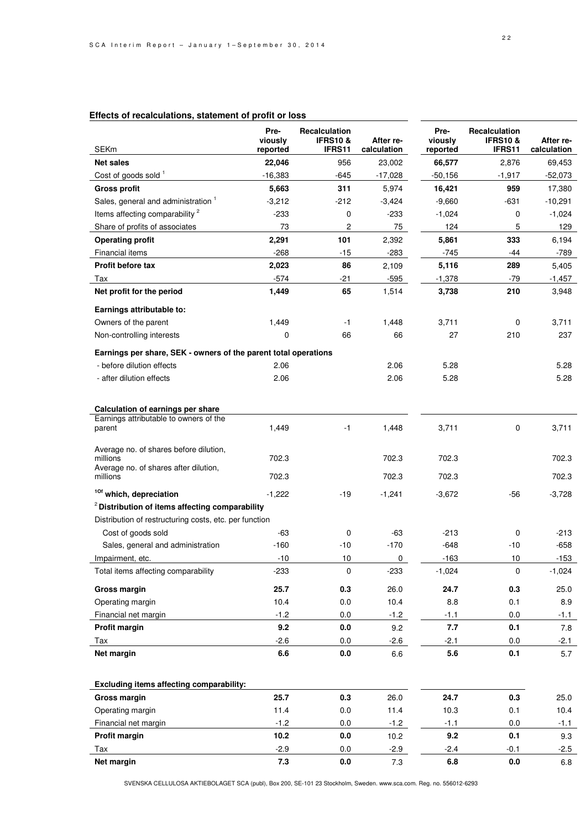| <b>SEKm</b>                                                                                 | Pre-<br>viously<br>reported | Recalculation<br><b>IFRS10&amp;</b><br>IFRS11 | After re-<br>calculation | Pre-<br>viously<br>reported | Recalculation<br><b>IFRS10 &amp;</b><br>IFRS11 | After re-<br>calculation |
|---------------------------------------------------------------------------------------------|-----------------------------|-----------------------------------------------|--------------------------|-----------------------------|------------------------------------------------|--------------------------|
| <b>Net sales</b>                                                                            | 22,046                      | 956                                           | 23,002                   | 66,577                      | 2,876                                          | 69,453                   |
| Cost of goods sold 1                                                                        | $-16,383$                   | -645                                          | $-17,028$                | $-50,156$                   | $-1,917$                                       | $-52,073$                |
| <b>Gross profit</b>                                                                         | 5,663                       | 311                                           | 5,974                    | 16,421                      | 959                                            | 17,380                   |
| Sales, general and administration <sup>1</sup>                                              | $-3,212$                    | -212                                          | $-3,424$                 | $-9,660$                    | $-631$                                         | $-10,291$                |
| Items affecting comparability <sup>2</sup>                                                  | $-233$                      | 0                                             | $-233$                   | $-1,024$                    | 0                                              | $-1,024$                 |
| Share of profits of associates                                                              | 73                          | 2                                             | 75                       | 124                         | 5                                              | 129                      |
| <b>Operating profit</b>                                                                     | 2,291                       | 101                                           | 2,392                    | 5,861                       | 333                                            | 6,194                    |
| Financial items                                                                             | $-268$                      | $-15$                                         | $-283$                   | $-745$                      | -44                                            | $-789$                   |
| Profit before tax                                                                           | 2,023                       | 86                                            | 2,109                    | 5,116                       | 289                                            | 5,405                    |
| Tax                                                                                         | -574                        | $-21$                                         | $-595$                   | $-1,378$                    | $-79$                                          | $-1,457$                 |
| Net profit for the period                                                                   | 1,449                       | 65                                            | 1,514                    | 3,738                       | 210                                            | 3,948                    |
| Earnings attributable to:                                                                   |                             |                                               |                          |                             |                                                |                          |
| Owners of the parent                                                                        | 1,449                       | $-1$                                          | 1,448                    | 3,711                       | 0                                              | 3,711                    |
| Non-controlling interests                                                                   | 0                           | 66                                            | 66                       | 27                          | 210                                            | 237                      |
| Earnings per share, SEK - owners of the parent total operations                             |                             |                                               |                          |                             |                                                |                          |
| - before dilution effects                                                                   | 2.06                        |                                               | 2.06                     | 5.28                        |                                                | 5.28                     |
| - after dilution effects                                                                    | 2.06                        |                                               | 2.06                     | 5.28                        |                                                | 5.28                     |
| Calculation of earnings per share                                                           |                             |                                               |                          |                             |                                                |                          |
| Earnings attributable to owners of the<br>parent                                            | 1,449                       | $-1$                                          | 1,448                    | 3,711                       | 0                                              | 3,711                    |
| Average no. of shares before dilution,<br>millions<br>Average no. of shares after dilution, | 702.3                       |                                               | 702.3                    | 702.3                       |                                                | 702.3                    |
| millions                                                                                    | 702.3                       |                                               | 702.3                    | 702.3                       |                                                | 702.3                    |
| <sup>10f</sup> which, depreciation                                                          | $-1,222$                    | $-19$                                         | $-1,241$                 | $-3,672$                    | -56                                            | $-3,728$                 |
| <sup>2</sup> Distribution of items affecting comparability                                  |                             |                                               |                          |                             |                                                |                          |
| Distribution of restructuring costs, etc. per function                                      |                             |                                               |                          |                             |                                                |                          |
| Cost of goods sold                                                                          | -63                         | 0                                             | -63                      | $-213$                      | 0                                              | $-213$                   |
| Sales, general and administration                                                           | $-160$                      | $-10$                                         | $-170$                   | $-648$                      | $-10$                                          | $-658$                   |
| Impairment, etc.                                                                            | $-10$                       | 10                                            | 0                        | $-163$                      | 10                                             | $-153$                   |
| Total items affecting comparability                                                         | $-233$                      | $\pmb{0}$                                     | $-233$                   | $-1,024$                    | 0                                              | $-1,024$                 |
| Gross margin                                                                                | 25.7                        | 0.3                                           | 26.0                     | 24.7                        | 0.3                                            | 25.0                     |
| Operating margin                                                                            | 10.4                        | $0.0\,$                                       | 10.4                     | 8.8                         | 0.1                                            | 8.9                      |
| Financial net margin                                                                        | $-1.2$                      | 0.0                                           | $-1.2$                   | $-1.1$                      | 0.0                                            | $-1.1$                   |
| Profit margin                                                                               | 9.2                         | 0.0                                           | 9.2                      | 7.7                         | 0.1                                            | 7.8                      |
| Tax                                                                                         | $-2.6$                      | 0.0                                           | $-2.6$                   | $-2.1$                      | 0.0                                            | $-2.1$                   |
| Net margin                                                                                  | 6.6                         | 0.0                                           | 6.6                      | 5.6                         | 0.1                                            | 5.7                      |
| Excluding items affecting comparability:                                                    |                             |                                               |                          |                             |                                                |                          |
| Gross margin                                                                                | 25.7                        | 0.3                                           | 26.0                     | 24.7                        | 0.3                                            | 25.0                     |
| Operating margin                                                                            | 11.4                        | $0.0\,$                                       | 11.4                     | 10.3                        | 0.1                                            | 10.4                     |
| Financial net margin                                                                        | $-1.2$                      | 0.0                                           | $-1.2$                   | $-1.1$                      | $0.0\,$                                        | $-1.1$                   |
| Profit margin                                                                               | 10.2                        | $0.0\,$                                       | 10.2                     | 9.2                         | 0.1                                            | 9.3                      |

### **Effects of recalculations, statement of profit or loss**

SVENSKA CELLULOSA AKTIEBOLAGET SCA (publ), Box 200, SE-101 23 Stockholm, Sweden. www.sca.com. Reg. no. 556012-6293

Tax -2.9 0.0 -2.9 -2.4 -0.1 -2.5 **Net margin 7.3 0.0** 7.3 **6.8 0.0** 6.8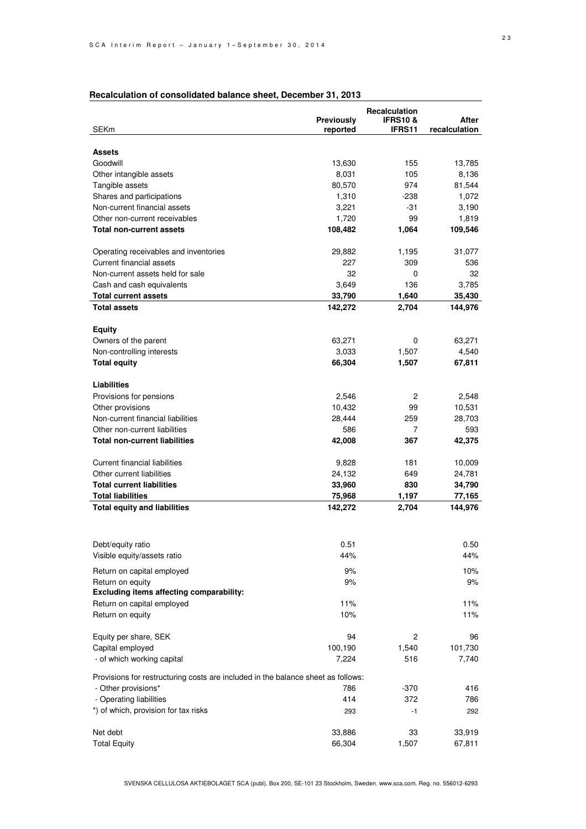| alvalation of concontaatoa balance cheett                                        | Previously       | Recalculation<br><b>IFRS10&amp;</b> | After         |  |  |
|----------------------------------------------------------------------------------|------------------|-------------------------------------|---------------|--|--|
| <b>SEKm</b>                                                                      | reported         | <b>IFRS11</b>                       | recalculation |  |  |
|                                                                                  |                  |                                     |               |  |  |
| <b>Assets</b>                                                                    |                  |                                     |               |  |  |
| Goodwill                                                                         | 13,630           | 155                                 | 13,785        |  |  |
| Other intangible assets                                                          | 8,031            | 105                                 | 8,136         |  |  |
| Tangible assets                                                                  | 80,570           | 974                                 | 81,544        |  |  |
| Shares and participations                                                        | 1,310            | $-238$                              | 1,072         |  |  |
| Non-current financial assets                                                     | 3,221            | -31                                 | 3,190         |  |  |
| Other non-current receivables                                                    | 1,720<br>108,482 | 99                                  | 1,819         |  |  |
| Total non-current assets                                                         |                  | 1,064                               | 109,546       |  |  |
| Operating receivables and inventories                                            | 29,882           | 1,195                               | 31,077        |  |  |
| Current financial assets                                                         | 227              | 309                                 | 536           |  |  |
| Non-current assets held for sale                                                 | 32               | 0                                   | 32            |  |  |
| Cash and cash equivalents                                                        | 3,649            | 136                                 | 3,785         |  |  |
| <b>Total current assets</b>                                                      | 33,790           | 1,640                               | 35,430        |  |  |
| <b>Total assets</b>                                                              | 142,272          | 2,704                               | 144,976       |  |  |
|                                                                                  |                  |                                     |               |  |  |
| <b>Equity</b>                                                                    |                  |                                     |               |  |  |
| Owners of the parent                                                             | 63,271           | 0                                   | 63,271        |  |  |
| Non-controlling interests                                                        | 3,033            | 1,507                               | 4,540         |  |  |
| <b>Total equity</b>                                                              | 66,304           | 1,507                               | 67,811        |  |  |
| Liabilities                                                                      |                  |                                     |               |  |  |
| Provisions for pensions                                                          | 2,546            | 2                                   | 2,548         |  |  |
| Other provisions                                                                 | 10,432           | 99                                  | 10,531        |  |  |
| Non-current financial liabilities                                                | 28,444           | 259                                 | 28,703        |  |  |
| Other non-current liabilities                                                    | 586              | 7                                   | 593           |  |  |
| <b>Total non-current liabilities</b>                                             | 42,008           | 367                                 | 42,375        |  |  |
|                                                                                  |                  |                                     |               |  |  |
| <b>Current financial liabilities</b>                                             | 9,828            | 181                                 | 10,009        |  |  |
| Other current liabilities                                                        | 24,132           | 649                                 | 24,781        |  |  |
| <b>Total current liabilities</b>                                                 | 33,960           | 830                                 | 34,790        |  |  |
| <b>Total liabilities</b>                                                         | 75,968           | 1,197                               | 77,165        |  |  |
| <b>Total equity and liabilities</b>                                              | 142,272          | 2,704                               | 144,976       |  |  |
|                                                                                  |                  |                                     |               |  |  |
|                                                                                  |                  |                                     |               |  |  |
| Debt/equity ratio                                                                | 0.51             |                                     | 0.50          |  |  |
| Visible equity/assets ratio                                                      | 44%              |                                     | 44%           |  |  |
| Return on capital employed                                                       | 9%               |                                     | 10%           |  |  |
| Return on equity                                                                 | 9%               |                                     | 9%            |  |  |
| Excluding items affecting comparability:                                         |                  |                                     |               |  |  |
| Return on capital employed                                                       | 11%              |                                     | 11%           |  |  |
| Return on equity                                                                 | 10%              |                                     | 11%           |  |  |
|                                                                                  |                  |                                     |               |  |  |
| Equity per share, SEK                                                            | 94               | 2                                   | 96            |  |  |
| Capital employed                                                                 | 100,190          | 1,540                               | 101,730       |  |  |
| - of which working capital                                                       | 7,224            | 516                                 | 7,740         |  |  |
| Provisions for restructuring costs are included in the balance sheet as follows: |                  |                                     |               |  |  |
| - Other provisions*                                                              | 786              | $-370$                              | 416           |  |  |
| - Operating liabilities                                                          | 414              | 372                                 | 786           |  |  |
| *) of which, provision for tax risks                                             | 293              | $-1$                                | 292           |  |  |
|                                                                                  |                  |                                     |               |  |  |
| Net debt                                                                         | 33,886           | 33                                  | 33,919        |  |  |

### **Recalculation of consolidated balance sheet, December 31, 2013**

SVENSKA CELLULOSA AKTIEBOLAGET SCA (publ), Box 200, SE-101 23 Stockholm, Sweden. www.sca.com. Reg. no. 556012-6293

Total Equity 66,304 1,507 67,811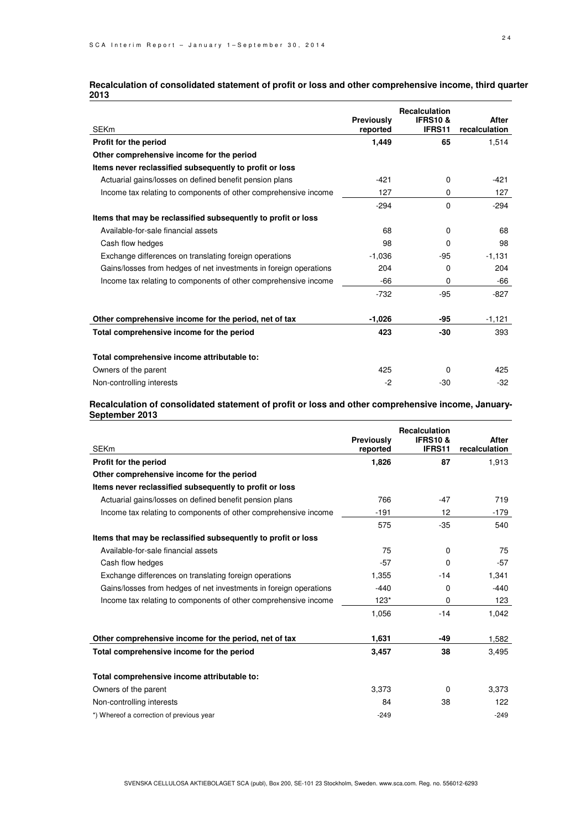| <b>SEKm</b>                                                       | <b>Previously</b><br>reported | <b>Recalculation</b><br><b>IFRS10&amp;</b><br>IFRS11 | After<br>recalculation |
|-------------------------------------------------------------------|-------------------------------|------------------------------------------------------|------------------------|
| Profit for the period                                             | 1,449                         | 65                                                   | 1,514                  |
| Other comprehensive income for the period                         |                               |                                                      |                        |
| Items never reclassified subsequently to profit or loss           |                               |                                                      |                        |
| Actuarial gains/losses on defined benefit pension plans           | $-421$                        | $\Omega$                                             | $-421$                 |
| Income tax relating to components of other comprehensive income   | 127                           | 0                                                    | 127                    |
|                                                                   | $-294$                        | 0                                                    | $-294$                 |
| Items that may be reclassified subsequently to profit or loss     |                               |                                                      |                        |
| Available-for-sale financial assets                               | 68                            | 0                                                    | 68                     |
| Cash flow hedges                                                  | 98                            | 0                                                    | 98                     |
| Exchange differences on translating foreign operations            | $-1,036$                      | $-95$                                                | $-1,131$               |
| Gains/losses from hedges of net investments in foreign operations | 204                           | 0                                                    | 204                    |
| Income tax relating to components of other comprehensive income   | $-66$                         | 0                                                    | -66                    |
|                                                                   | $-732$                        | $-95$                                                | $-827$                 |
| Other comprehensive income for the period, net of tax             | $-1,026$                      | -95                                                  | $-1,121$               |
| Total comprehensive income for the period                         | 423                           | $-30$                                                | 393                    |
| Total comprehensive income attributable to:                       |                               |                                                      |                        |
| Owners of the parent                                              | 425                           | 0                                                    | 425                    |
| Non-controlling interests                                         | -2                            | $-30$                                                | $-32$                  |

#### **Recalculation of consolidated statement of profit or loss and other comprehensive income, third quarter 2013**

#### **Recalculation of consolidated statement of profit or loss and other comprehensive income, January-September 2013**

| <b>SEKm</b>                                                       | Previously<br>reported | <b>Recalculation</b><br><b>IFRS10&amp;</b><br><b>IFRS11</b> | After<br>recalculation |
|-------------------------------------------------------------------|------------------------|-------------------------------------------------------------|------------------------|
| Profit for the period                                             | 1,826                  | 87                                                          | 1,913                  |
| Other comprehensive income for the period                         |                        |                                                             |                        |
| Items never reclassified subsequently to profit or loss           |                        |                                                             |                        |
| Actuarial gains/losses on defined benefit pension plans           | 766                    | $-47$                                                       | 719                    |
| Income tax relating to components of other comprehensive income   | $-191$                 | 12                                                          | $-179$                 |
|                                                                   | 575                    | $-35$                                                       | 540                    |
| Items that may be reclassified subsequently to profit or loss     |                        |                                                             |                        |
| Available-for-sale financial assets                               | 75                     | $\Omega$                                                    | 75                     |
| Cash flow hedges                                                  | $-57$                  | $\Omega$                                                    | $-57$                  |
| Exchange differences on translating foreign operations            | 1,355                  | $-14$                                                       | 1,341                  |
| Gains/losses from hedges of net investments in foreign operations | $-440$                 | 0                                                           | $-440$                 |
| Income tax relating to components of other comprehensive income   | $123*$                 | $\Omega$                                                    | 123                    |
|                                                                   | 1,056                  | $-14$                                                       | 1,042                  |
| Other comprehensive income for the period, net of tax             | 1,631                  | -49                                                         | 1,582                  |
| Total comprehensive income for the period                         | 3,457                  | 38                                                          | 3,495                  |
| Total comprehensive income attributable to:                       |                        |                                                             |                        |
| Owners of the parent                                              | 3,373                  | $\Omega$                                                    | 3,373                  |
| Non-controlling interests                                         | 84                     | 38                                                          | 122                    |
| *) Whereof a correction of previous year                          | $-249$                 |                                                             | $-249$                 |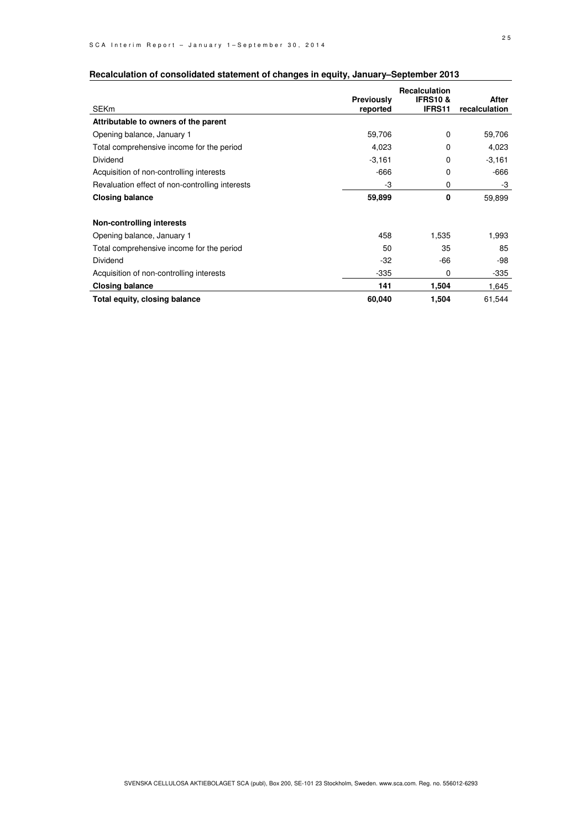|                                                 |                   | <b>Recalculation</b> |               |
|-------------------------------------------------|-------------------|----------------------|---------------|
|                                                 | <b>Previously</b> | <b>IFRS10&amp;</b>   | After         |
| <b>SEKm</b>                                     | reported          | <b>IFRS11</b>        | recalculation |
| Attributable to owners of the parent            |                   |                      |               |
| Opening balance, January 1                      | 59,706            | 0                    | 59,706        |
| Total comprehensive income for the period       | 4,023             | $\Omega$             | 4,023         |
| Dividend                                        | $-3,161$          | 0                    | $-3,161$      |
| Acquisition of non-controlling interests        | $-666$            | 0                    | -666          |
| Revaluation effect of non-controlling interests | -3                | 0                    | -3            |
| <b>Closing balance</b>                          | 59,899            | 0                    | 59,899        |
| <b>Non-controlling interests</b>                |                   |                      |               |
| Opening balance, January 1                      | 458               | 1,535                | 1,993         |
| Total comprehensive income for the period       | 50                | 35                   | 85            |
| Dividend                                        | $-32$             | -66                  | -98           |
| Acquisition of non-controlling interests        | $-335$            | 0                    | $-335$        |
| <b>Closing balance</b>                          | 141               | 1,504                | 1,645         |
| Total equity, closing balance                   | 60,040            | 1,504                | 61,544        |

### **Recalculation of consolidated statement of changes in equity, January–September 2013**